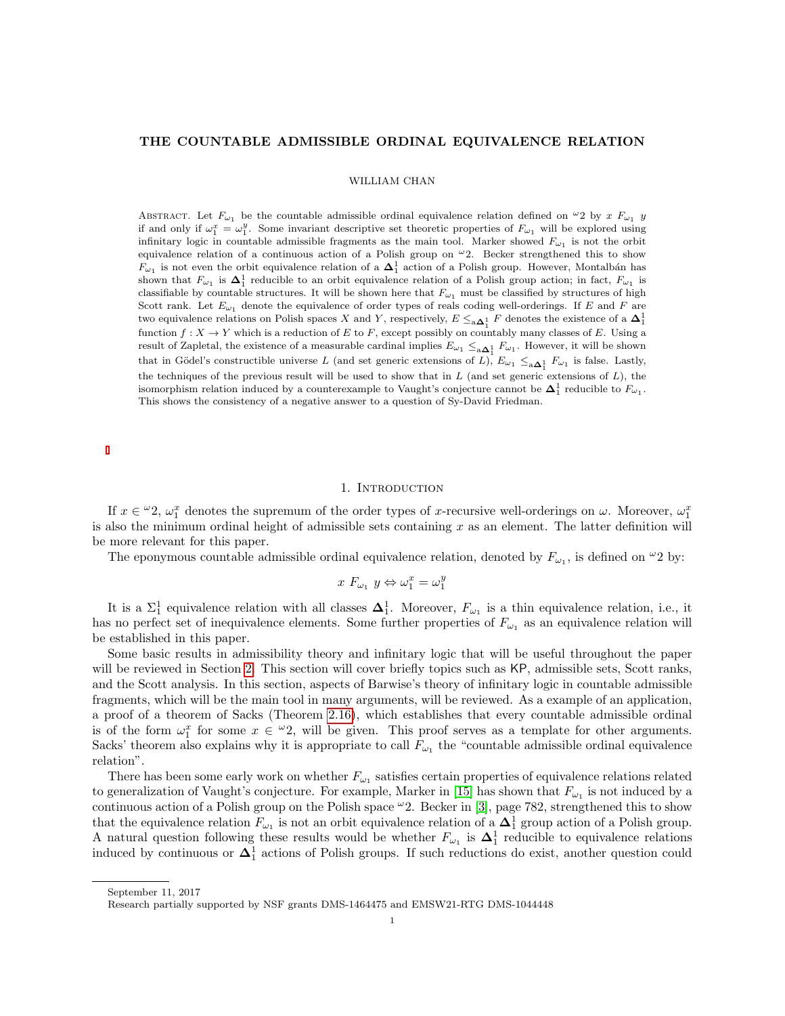### THE COUNTABLE ADMISSIBLE ORDINAL EQUIVALENCE RELATION

### WILLIAM CHAN

ABSTRACT. Let  $F_{\omega_1}$  be the countable admissible ordinal equivalence relation defined on  $\omega_2$  by x  $F_{\omega_1}$  y if and only if  $\omega_1^x = \omega_1^y$ . Some invariant descriptive set theoretic properties of  $F_{\omega_1}$  will be explored using infinitary logic in countable admissible fragments as the main tool. Marker showed  $F_{\omega_1}$  is not the orbit equivalence relation of a continuous action of a Polish group on  $\omega_2$ . Becker strengthened this to show  $F_{\omega_1}$  is not even the orbit equivalence relation of a  $\Delta_1^1$  action of a Polish group. However, Montalbán has shown that  $F_{\omega_1}$  is  $\Delta_1^1$  reducible to an orbit equivalence relation of a Polish group action; in fact,  $F_{\omega_1}$  is classifiable by countable structures. It will be shown here that  $F_{\omega_1}$  must be classified by structures of high Scott rank. Let  $E_{\omega_1}$  denote the equivalence of order types of reals coding well-orderings. If E and F are two equivalence relations on Polish spaces X and Y, respectively,  $E \leq_{a \Delta_1^1} F$  denotes the existence of a  $\Delta_1^1$ function  $f: X \to Y$  which is a reduction of E to F, except possibly on countably many classes of E. Using a result of Zapletal, the existence of a measurable cardinal implies  $E_{\omega_1} \leq_{\mathbf{a}\mathbf{\Delta}_1^1} F_{\omega_1}$ . However, it will be shown that in Gödel's constructible universe L (and set generic extensions of L),  $E_{\omega_1} \leq_{a \Delta_1^1} F_{\omega_1}$  is false. Lastly, the techniques of the previous result will be used to show that in  $L$  (and set generic extensions of  $L$ ), the isomorphism relation induced by a counterexample to Vaught's conjecture cannot be  $\Delta_1^1$  reducible to  $F_{\omega_1}$ . This shows the consistency of a negative answer to a question of Sy-David Friedman.

### 1. INTRODUCTION

If  $x \in \mathcal{Q}$ ,  $\omega_1^x$  denotes the supremum of the order types of x-recursive well-orderings on  $\omega$ . Moreover,  $\omega_1^x$ is also the minimum ordinal height of admissible sets containing  $x$  as an element. The latter definition will be more relevant for this paper.

The eponymous countable admissible ordinal equivalence relation, denoted by  $F_{\omega_1}$ , is defined on  $^{\omega_2}$  by:

$$
x F_{\omega_1} y \Leftrightarrow \omega_1^x = \omega_1^y
$$

It is a  $\Sigma_1^1$  equivalence relation with all classes  $\Delta_1^1$ . Moreover,  $F_{\omega_1}$  is a thin equivalence relation, i.e., it has no perfect set of inequivalence elements. Some further properties of  $F_{\omega_1}$  as an equivalence relation will be established in this paper.

Some basic results in admissibility theory and infinitary logic that will be useful throughout the paper will be reviewed in Section [2.](#page-2-0) This section will cover briefly topics such as  $KP$ , admissible sets, Scott ranks, and the Scott analysis. In this section, aspects of Barwise's theory of infinitary logic in countable admissible fragments, which will be the main tool in many arguments, will be reviewed. As a example of an application, a proof of a theorem of Sacks (Theorem [2.16\)](#page-3-0), which establishes that every countable admissible ordinal is of the form  $\omega_1^x$  for some  $x \in \omega_2$ , will be given. This proof serves as a template for other arguments. Sacks' theorem also explains why it is appropriate to call  $F_{\omega_1}$  the "countable admissible ordinal equivalence relation".

There has been some early work on whether  $F_{\omega_1}$  satisfies certain properties of equivalence relations related to generalization of Vaught's conjecture. For example, Marker in [\[15\]](#page-18-0) has shown that  $F_{\omega_1}$  is not induced by a continuous action of a Polish group on the Polish space  $\omega_2$ . Becker in [\[3\]](#page-18-1), page 782, strengthened this to show that the equivalence relation  $F_{\omega_1}$  is not an orbit equivalence relation of a  $\Delta_1^1$  group action of a Polish group. A natural question following these results would be whether  $F_{\omega_1}$  is  $\Delta_1^1$  reducible to equivalence relations induced by continuous or  $\Delta_1^1$  actions of Polish groups. If such reductions do exist, another question could

September 11, 2017

Research partially supported by NSF grants DMS-1464475 and EMSW21-RTG DMS-1044448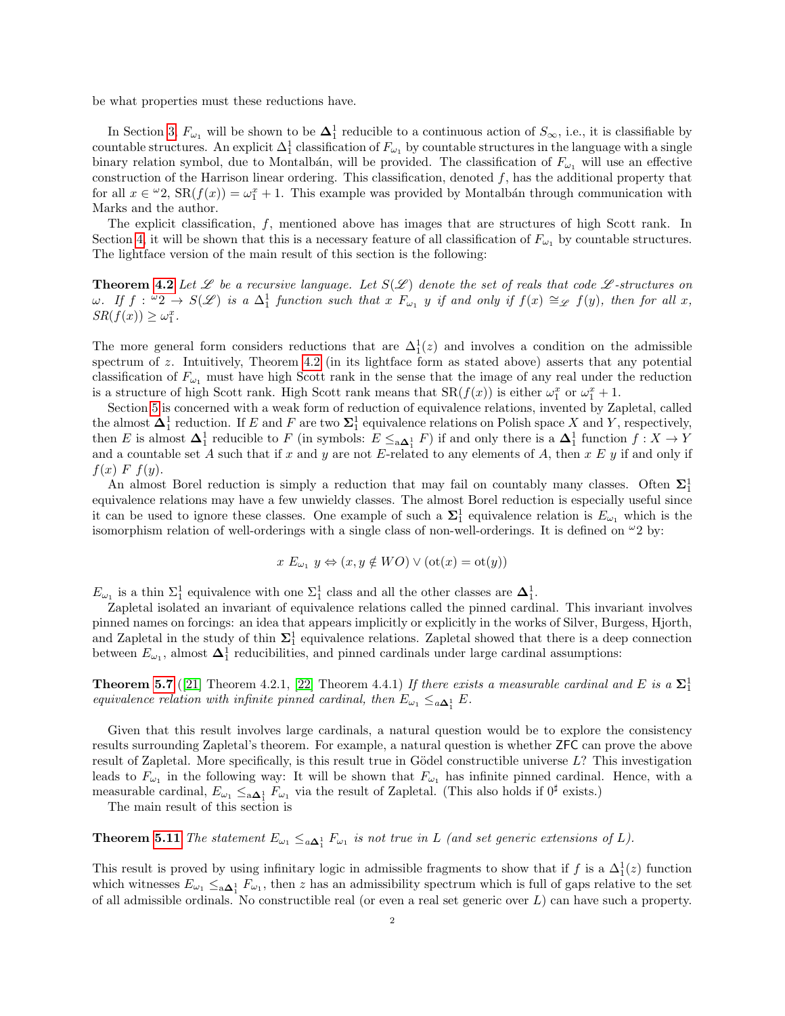be what properties must these reductions have.

In Section [3,](#page-7-0)  $F_{\omega_1}$  will be shown to be  $\Delta_1^1$  reducible to a continuous action of  $S_{\infty}$ , i.e., it is classifiable by countable structures. An explicit  $\Delta_1^1$  classification of  $F_{\omega_1}$  by countable structures in the language with a single binary relation symbol, due to Montalbán, will be provided. The classification of  $F_{\omega_1}$  will use an effective construction of the Harrison linear ordering. This classification, denoted  $f$ , has the additional property that for all  $x \in \omega^2$ ,  $\text{SR}(f(x)) = \omega_1^x + 1$ . This example was provided by Montalbán through communication with Marks and the author.

The explicit classification, f, mentioned above has images that are structures of high Scott rank. In Section [4,](#page-9-0) it will be shown that this is a necessary feature of all classification of  $F_{\omega_1}$  by countable structures. The lightface version of the main result of this section is the following:

**Theorem [4.2](#page-9-1)** Let  $\mathscr L$  be a recursive language. Let  $S(\mathscr L)$  denote the set of reals that code  $\mathscr L$ -structures on  $\omega$ . If  $f: \omega_2 \to S(\mathscr{L})$  is a  $\Delta_1^1$  function such that  $x \to \omega_1$  y if and only if  $f(x) \cong_{\mathscr{L}} f(y)$ , then for all x,  $SR(f(x)) \geq \omega_1^x$ .

The more general form considers reductions that are  $\Delta_1^1(z)$  and involves a condition on the admissible spectrum of z. Intuitively, Theorem [4.2](#page-9-1) (in its lightface form as stated above) asserts that any potential classification of  $F_{\omega_1}$  must have high Scott rank in the sense that the image of any real under the reduction is a structure of high Scott rank. High Scott rank means that  $SR(f(x))$  is either  $\omega_1^x$  or  $\omega_1^x + 1$ .

Section [5](#page-12-0) is concerned with a weak form of reduction of equivalence relations, invented by Zapletal, called the almost  $\Delta_1^1$  reduction. If E and F are two  $\Sigma_1^1$  equivalence relations on Polish space X and Y, respectively, then E is almost  $\Delta_1^1$  reducible to F (in symbols:  $E \leq_{a\Delta_1^1} F$ ) if and only there is a  $\Delta_1^1$  function  $f: X \to Y$ and a countable set A such that if x and y are not E-related to any elements of A, then  $x E y$  if and only if  $f(x)$  F  $f(y)$ .

An almost Borel reduction is simply a reduction that may fail on countably many classes. Often  $\Sigma_1^1$ equivalence relations may have a few unwieldy classes. The almost Borel reduction is especially useful since it can be used to ignore these classes. One example of such a  $\Sigma_1^1$  equivalence relation is  $E_{\omega_1}$  which is the isomorphism relation of well-orderings with a single class of non-well-orderings. It is defined on  $\omega_2$  by:

$$
x E_{\omega_1} y \Leftrightarrow (x, y \notin WO) \vee (\mathrm{ot}(x) = \mathrm{ot}(y))
$$

 $E_{\omega_1}$  is a thin  $\Sigma_1^1$  equivalence with one  $\Sigma_1^1$  class and all the other classes are  $\Delta_1^1$ .

Zapletal isolated an invariant of equivalence relations called the pinned cardinal. This invariant involves pinned names on forcings: an idea that appears implicitly or explicitly in the works of Silver, Burgess, Hjorth, and Zapletal in the study of thin  $\Sigma_1^1$  equivalence relations. Zapletal showed that there is a deep connection between  $E_{\omega_1}$ , almost  $\Delta_1^1$  reducibilities, and pinned cardinals under large cardinal assumptions:

**Theorem [5.7](#page-13-0)** ([\[21\]](#page-18-2) Theorem 4.2.1, [\[22\]](#page-18-3) Theorem 4.4.1) If there exists a measurable cardinal and E is a  $\Sigma_1^1$ equivalence relation with infinite pinned cardinal, then  $E_{\omega_1} \leq_{a\Delta_1^1} E$ .

Given that this result involves large cardinals, a natural question would be to explore the consistency results surrounding Zapletal's theorem. For example, a natural question is whether ZFC can prove the above result of Zapletal. More specifically, is this result true in Gödel constructible universe  $L$ ? This investigation leads to  $F_{\omega_1}$  in the following way: It will be shown that  $F_{\omega_1}$  has infinite pinned cardinal. Hence, with a measurable cardinal,  $E_{\omega_1} \leq_{\mathbf{a}\mathbf{\Delta}_1^1} F_{\omega_1}$  via the result of Zapletal. (This also holds if  $0^{\sharp}$  exists.)

The main result of this section is

**Theorem [5.11](#page-14-0)** The statement  $E_{\omega_1} \leq_{a\Delta_1^1} F_{\omega_1}$  is not true in L (and set generic extensions of L).

This result is proved by using infinitary logic in admissible fragments to show that if f is a  $\Delta_1^1(z)$  function which witnesses  $E_{\omega_1} \le_{a \Delta_1^1} F_{\omega_1}$ , then z has an admissibility spectrum which is full of gaps relative to the set of all admissible ordinals. No constructible real (or even a real set generic over L) can have such a property.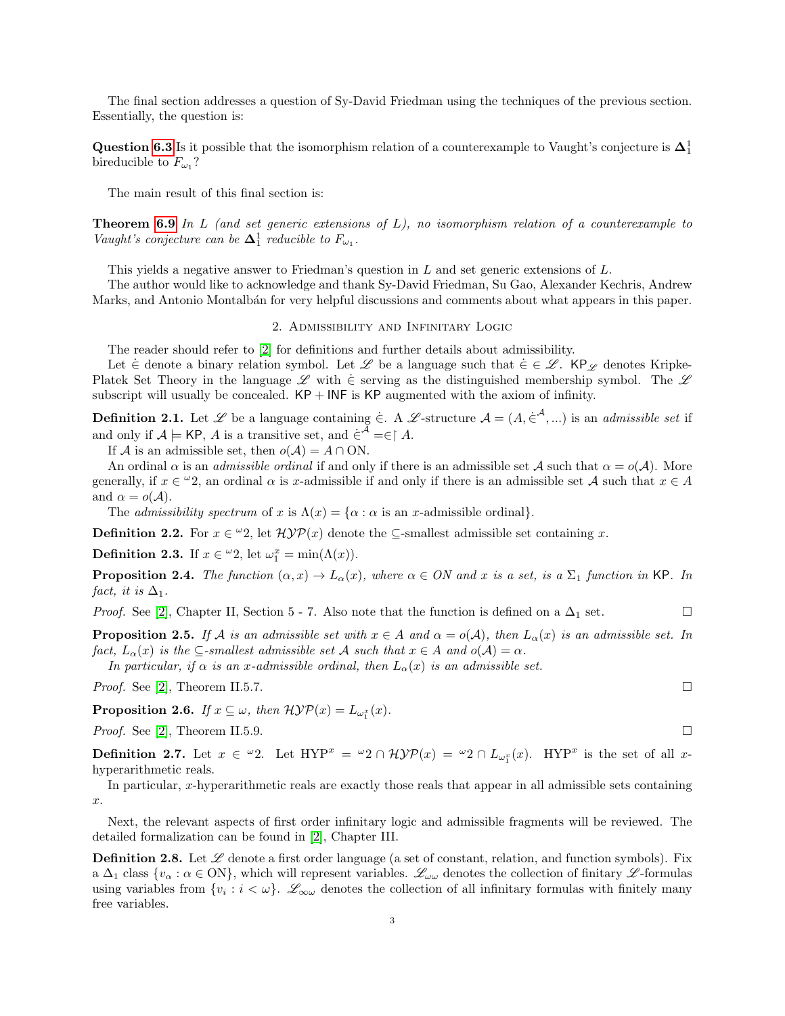The final section addresses a question of Sy-David Friedman using the techniques of the previous section. Essentially, the question is:

Question [6.3](#page-15-0) Is it possible that the isomorphism relation of a counterexample to Vaught's conjecture is  $\Delta_1^1$ bireducible to  $F_{\omega_1}$ ?

The main result of this final section is:

**Theorem [6.9](#page-17-0)** In L (and set generic extensions of  $L$ ), no isomorphism relation of a counterexample to Vaught's conjecture can be  $\Delta_1^1$  reducible to  $F_{\omega_1}$ .

This yields a negative answer to Friedman's question in L and set generic extensions of L.

The author would like to acknowledge and thank Sy-David Friedman, Su Gao, Alexander Kechris, Andrew Marks, and Antonio Montalb´an for very helpful discussions and comments about what appears in this paper.

### 2. Admissibility and Infinitary Logic

<span id="page-2-0"></span>The reader should refer to [\[2\]](#page-18-4) for definitions and further details about admissibility.

Let  $\in$  denote a binary relation symbol. Let L be a language such that  $\in \in \mathcal{L}$ . KP<sub>L</sub> denotes Kripke-Platek Set Theory in the language  $\mathscr L$  with  $\dot{\in}$  serving as the distinguished membership symbol. The  $\mathscr L$ subscript will usually be concealed.  $KP + INF$  is  $KP$  augmented with the axiom of infinity.

**Definition 2.1.** Let L be a language containing  $\in$ . A L-structure  $\mathcal{A} = (A, \in^{\mathcal{A}}, ...)$  is an *admissible set* if and only if  $\mathcal{A} \models$  KP, A is a transitive set, and  $\dot{\in}^{\mathcal{A}} = \in \restriction A$ .

If A is an admissible set, then  $o(A) = A \cap ON$ .

An ordinal  $\alpha$  is an *admissible ordinal* if and only if there is an admissible set A such that  $\alpha = o(\mathcal{A})$ . More generally, if  $x \in \omega_2$ , an ordinal  $\alpha$  is x-admissible if and only if there is an admissible set A such that  $x \in A$ and  $\alpha = o(\mathcal{A}).$ 

The *admissibility spectrum* of x is  $\Lambda(x) = {\alpha : \alpha$  is an x-admissible ordinal.

**Definition 2.2.** For  $x \in \omega^2$ , let  $\mathcal{H} \mathcal{Y} \mathcal{P}(x)$  denote the  $\subseteq$ -smallest admissible set containing x.

**Definition 2.3.** If  $x \in \omega_2$ , let  $\omega_1^x = \min(\Lambda(x))$ .

<span id="page-2-2"></span>**Proposition 2.4.** The function  $(\alpha, x) \to L_{\alpha}(x)$ , where  $\alpha \in ON$  and x is a set, is a  $\Sigma_1$  function in KP. In fact, it is  $\Delta_1$ .

*Proof.* See [\[2\]](#page-18-4), Chapter II, Section 5 - 7. Also note that the function is defined on a  $\Delta_1$  set.

<span id="page-2-1"></span>**Proposition 2.5.** If A is an admissible set with  $x \in A$  and  $\alpha = o(A)$ , then  $L_{\alpha}(x)$  is an admissible set. In fact,  $L_{\alpha}(x)$  is the  $\subseteq$ -smallest admissible set A such that  $x \in A$  and  $o(A) = \alpha$ .

In particular, if  $\alpha$  is an x-admissible ordinal, then  $L_{\alpha}(x)$  is an admissible set.

*Proof.* See [\[2\]](#page-18-4), Theorem II.5.7.

**Proposition 2.6.** If  $x \subseteq \omega$ , then  $\mathcal{H} \mathcal{Y} \mathcal{P}(x) = L_{\omega_1^x}(x)$ .

*Proof.* See [\[2\]](#page-18-4), Theorem II.5.9.  $\Box$ 

**Definition 2.7.** Let  $x \in \omega_2$ . Let  $HYP^x = \omega_2 \cap \mathcal{HYP}(x) = \omega_2 \cap L_{\omega_1^x}(x)$ .  $HYP^x$  is the set of all xhyperarithmetic reals.

In particular, x-hyperarithmetic reals are exactly those reals that appear in all admissible sets containing x.

Next, the relevant aspects of first order infinitary logic and admissible fragments will be reviewed. The detailed formalization can be found in [\[2\]](#page-18-4), Chapter III.

**Definition 2.8.** Let  $\mathscr L$  denote a first order language (a set of constant, relation, and function symbols). Fix a  $\Delta_1$  class  $\{v_\alpha : \alpha \in \text{ON}\}\,$ , which will represent variables.  $\mathscr{L}_{\omega\omega}$  denotes the collection of finitary  $\mathscr{L}\text{-formulas}$ using variables from  $\{v_i : i < \omega\}$ .  $\mathscr{L}_{\infty \omega}$  denotes the collection of all infinitary formulas with finitely many free variables.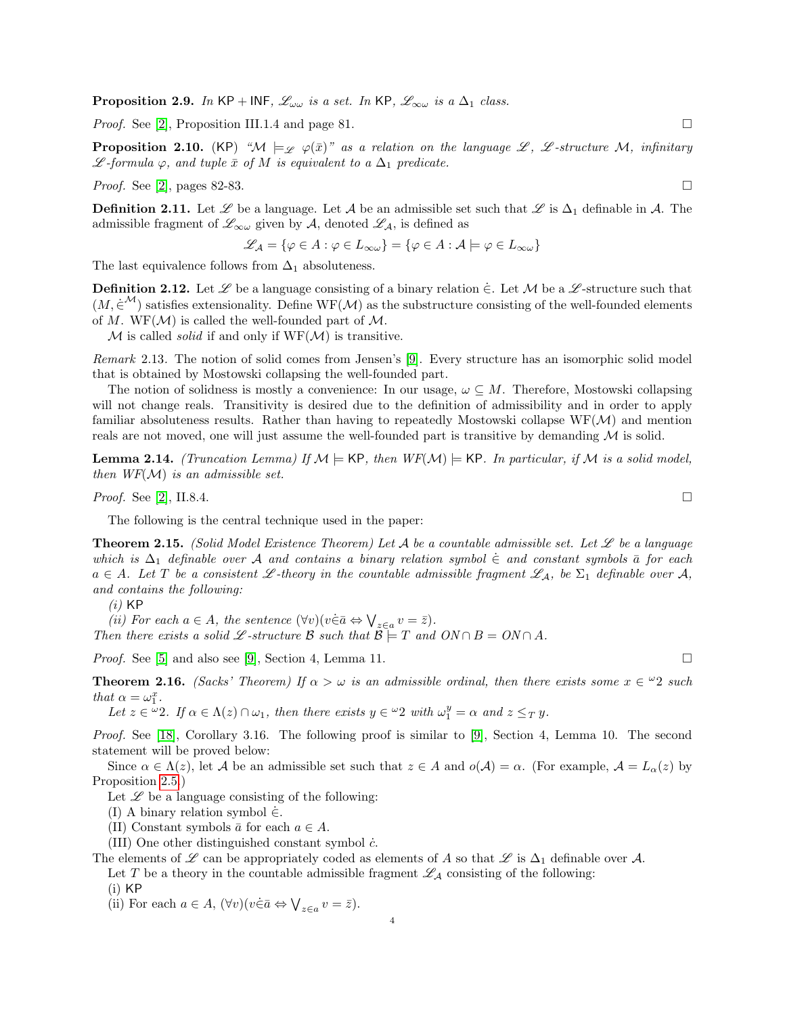**Proposition 2.9.** In KP + INF,  $\mathcal{L}_{\omega\omega}$  is a set. In KP,  $\mathcal{L}_{\infty\omega}$  is a  $\Delta_1$  class.

*Proof.* See [\[2\]](#page-18-4), Proposition III.1.4 and page 81.

<span id="page-3-3"></span>**Proposition 2.10.** (KP) " $M \models_{\mathscr{L}} \varphi(\bar{x})$ " as a relation on the language  $\mathscr{L}$ ,  $\mathscr{L}$ -structure M, infinitary  $\mathscr{L}$ -formula  $\varphi$ , and tuple  $\bar{x}$  of M is equivalent to a  $\Delta_1$  predicate.

*Proof.* See [\[2\]](#page-18-4), pages 82-83.

**Definition 2.11.** Let  $\mathscr L$  be a language. Let  $\mathcal A$  be an admissible set such that  $\mathscr L$  is  $\Delta_1$  definable in  $\mathcal A$ . The admissible fragment of  $\mathscr{L}_{\infty\omega}$  given by A, denoted  $\mathscr{L}_{\mathcal{A}}$ , is defined as

$$
\mathscr{L}_{\mathcal{A}} = \{ \varphi \in A : \varphi \in L_{\infty \omega} \} = \{ \varphi \in A : \mathcal{A} \models \varphi \in L_{\infty \omega} \}
$$

The last equivalence follows from  $\Delta_1$  absoluteness.

**Definition 2.12.** Let  $\mathscr L$  be a language consisting of a binary relation  $\in$ . Let M be a  $\mathscr L$ -structure such that  $(M, \dot{\in}^{\mathcal{M}})$  satisfies extensionality. Define WF( $\mathcal{M}$ ) as the substructure consisting of the well-founded elements of M. WF( $\mathcal{M}$ ) is called the well-founded part of  $\mathcal{M}$ .

 $\mathcal M$  is called *solid* if and only if  $WF(\mathcal M)$  is transitive.

Remark 2.13. The notion of solid comes from Jensen's [\[9\]](#page-18-5). Every structure has an isomorphic solid model that is obtained by Mostowski collapsing the well-founded part.

The notion of solidness is mostly a convenience: In our usage,  $\omega \subseteq M$ . Therefore, Mostowski collapsing will not change reals. Transitivity is desired due to the definition of admissibility and in order to apply familiar absoluteness results. Rather than having to repeatedly Mostowski collapse  $WF(\mathcal{M})$  and mention reals are not moved, one will just assume the well-founded part is transitive by demanding  $\mathcal M$  is solid.

<span id="page-3-2"></span>**Lemma 2.14.** (Truncation Lemma) If  $M \models$  KP, then  $WF(M) \models$  KP. In particular, if M is a solid model, then  $WF(\mathcal{M})$  is an admissible set.

*Proof.* See [\[2\]](#page-18-4), II.8.4.

The following is the central technique used in the paper:

<span id="page-3-1"></span>**Theorem 2.15.** (Solid Model Existence Theorem) Let A be a countable admissible set. Let  $\mathscr L$  be a language which is  $\Delta_1$  definable over A and contains a binary relation symbol  $\in$  and constant symbols  $\bar{a}$  for each  $a \in A$ . Let T be a consistent L-theory in the countable admissible fragment  $\mathscr{L}_A$ , be  $\Sigma_1$  definable over  $\mathscr{A}$ , and contains the following:

 $(i)$  KP

(ii) For each  $a \in A$ , the sentence  $(\forall v)(v \in \bar{a} \Leftrightarrow \bigvee_{z \in a} v = \bar{z}).$ 

Then there exists a solid £-structure B such that  $\mathcal{B} \models T$  and  $ON \cap B = ON \cap A$ .

*Proof.* See [\[5\]](#page-18-6) and also see [\[9\]](#page-18-5), Section 4, Lemma 11.

<span id="page-3-0"></span>**Theorem 2.16.** (Sacks' Theorem) If  $\alpha > \omega$  is an admissible ordinal, then there exists some  $x \in \mathcal{Q}$  such that  $\alpha = \omega_1^x$ .

Let  $z \in \omega$  2. If  $\alpha \in \Lambda(z) \cap \omega_1$ , then there exists  $y \in \omega$  2 with  $\omega_1^y = \alpha$  and  $z \leq_T y$ .

Proof. See [\[18\]](#page-18-7), Corollary 3.16. The following proof is similar to [\[9\]](#page-18-5), Section 4, Lemma 10. The second statement will be proved below:

Since  $\alpha \in \Lambda(z)$ , let A be an admissible set such that  $z \in A$  and  $o(\mathcal{A}) = \alpha$ . (For example,  $\mathcal{A} = L_{\alpha}(z)$  by Proposition [2.5.](#page-2-1))

Let  $\mathscr L$  be a language consisting of the following:

(I) A binary relation symbol  $\dot{\in}$ .

(II) Constant symbols  $\bar{a}$  for each  $a \in A$ .

(III) One other distinguished constant symbol  $\dot{c}$ .

The elements of L can be appropriately coded as elements of A so that L is  $\Delta_1$  definable over A.

Let T be a theory in the countable admissible fragment  $\mathscr{L}_\mathcal{A}$  consisting of the following:

 $(i)$  KP

(ii) For each  $a \in A$ ,  $(\forall v)(v \in \bar{a} \Leftrightarrow \bigvee_{z \in a} v = \bar{z}).$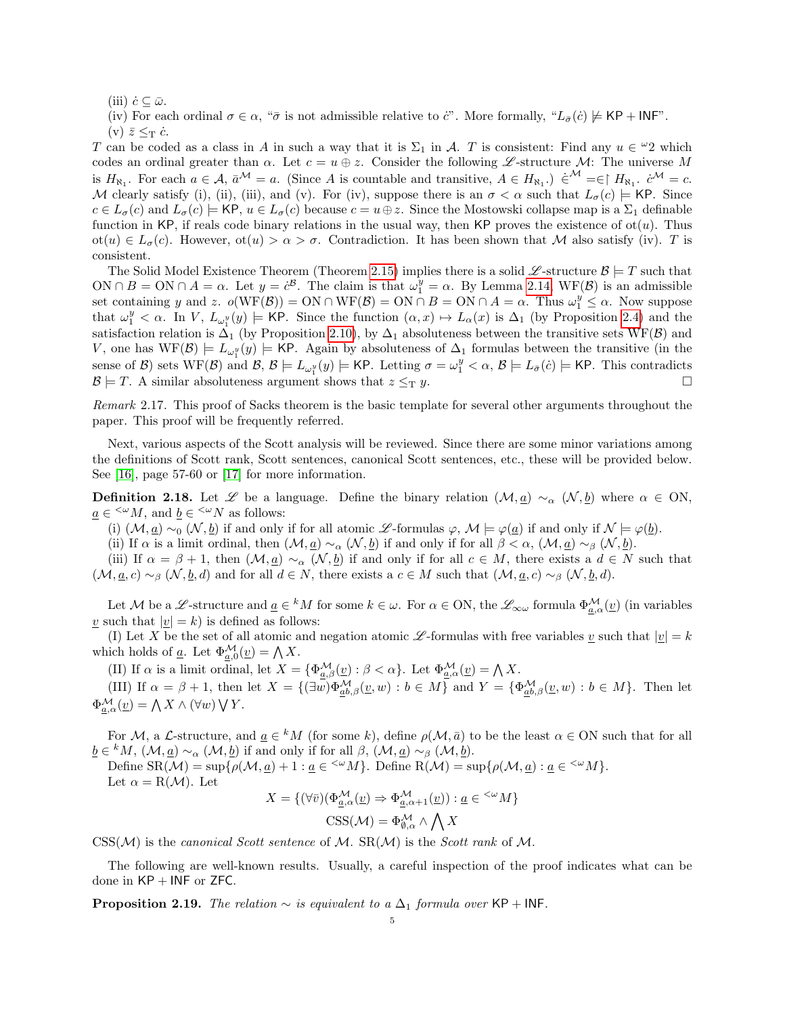(iii)  $\dot{c} \subseteq \bar{\omega}$ .

(iv) For each ordinal  $\sigma \in \alpha$ , " $\bar{\sigma}$  is not admissible relative to  $\ddot{c}$ ". More formally, " $L_{\bar{\sigma}}(\dot{c}) \not\models \textsf{KP} + \textsf{INF}$ ". (v)  $\bar{z} \leq_T \dot{c}$ .

T can be coded as a class in A in such a way that it is  $\Sigma_1$  in A. T is consistent: Find any  $u \in \mathcal{Q}$  which codes an ordinal greater than  $\alpha$ . Let  $c = u \oplus z$ . Consider the following L-structure M: The universe M is  $H_{\aleph_1}$ . For each  $a \in \mathcal{A}$ ,  $\bar{a}^{\mathcal{M}} = a$ . (Since A is countable and transitive,  $A \in H_{\aleph_1}$ .)  $\in^{\mathcal{M}} = \infty$   $H_{\aleph_1}$ .  $\dot{c}^{\mathcal{M}} = c$ . M clearly satisfy (i), (ii), (iii), and (v). For (iv), suppose there is an  $\sigma < \alpha$  such that  $L_{\sigma}(c) \models$  KP. Since  $c \in L_{\sigma}(c)$  and  $L_{\sigma}(c) \models$  KP,  $u \in L_{\sigma}(c)$  because  $c = u \oplus z$ . Since the Mostowski collapse map is a  $\Sigma_1$  definable function in KP, if reals code binary relations in the usual way, then KP proves the existence of  $ot(u)$ . Thus  $\text{ot}(u) \in L_{\sigma}(c)$ . However,  $\text{ot}(u) > \alpha > \sigma$ . Contradiction. It has been shown that M also satisfy (iv). T is consistent.

The Solid Model Existence Theorem (Theorem [2.15\)](#page-3-1) implies there is a solid  $\mathscr{L}$ -structure  $\mathscr{B}$  = T such that ON  $\cap$  B = ON  $\cap$  A =  $\alpha$ . Let  $y = c^{3}$ . The claim is that  $\omega_1^y = \alpha$ . By Lemma [2.14,](#page-3-2) WF(B) is an admissible set containing y and z.  $o(WF(\mathcal{B})) = ON \cap WF(\mathcal{B}) = ON \cap B = ON \cap A = \alpha$ . Thus  $\omega_1^y \leq \alpha$ . Now suppose that  $\omega_1^y < \alpha$ . In V,  $L_{\omega_1^y}(y) \models$  KP. Since the function  $(\alpha, x) \mapsto L_{\alpha}(x)$  is  $\Delta_1$  (by Proposition [2.4\)](#page-2-2) and the satisfaction relation is  $\Delta_1$  (by Proposition [2.10\)](#page-3-3), by  $\Delta_1$  absoluteness between the transitive sets WF(B) and V, one has  $WF(B) \models L_{\omega_1^y}(y) \models \textsf{KP}$ . Again by absoluteness of  $\Delta_1$  formulas between the transitive (in the sense of  $\mathcal{B}$ ) sets WF( $\mathcal{B}$ ) and  $\mathcal{B}, \mathcal{B} \models L_{\omega_1^y}(y) \models \mathsf{KP}$ . Letting  $\sigma = \omega_1^y < \alpha, \mathcal{B} \models L_{\bar{\sigma}}(c) \models \mathsf{KP}$ . This contradicts  $\mathcal{B} \models T$ . A similar absoluteness argument shows that  $z \leq_T y$ .

Remark 2.17. This proof of Sacks theorem is the basic template for several other arguments throughout the paper. This proof will be frequently referred.

Next, various aspects of the Scott analysis will be reviewed. Since there are some minor variations among the definitions of Scott rank, Scott sentences, canonical Scott sentences, etc., these will be provided below. See [\[16\]](#page-18-8), page 57-60 or [\[17\]](#page-18-9) for more information.

<span id="page-4-0"></span>**Definition 2.18.** Let L be a language. Define the binary relation  $(M, a) \sim_{\alpha} (N, b)$  where  $\alpha \in \mathcal{O}N$ ,  $\underline{a} \in \langle M, \text{ and } \underline{b} \in \langle M, \text{ and } \underline{b} \rangle$  as follows:

(i)  $(\mathcal{M}, \underline{a}) \sim_0 (\mathcal{N}, \underline{b})$  if and only if for all atomic  $\mathscr{L}$ -formulas  $\varphi, \mathscr{M} \models \varphi(\underline{a})$  if and only if  $\mathcal{N} \models \varphi(\underline{b})$ .

(ii) If  $\alpha$  is a limit ordinal, then  $(M, \underline{a}) \sim_{\alpha} (N, \underline{b})$  if and only if for all  $\beta < \alpha$ ,  $(M, \underline{a}) \sim_{\beta} (N, \underline{b})$ .

(iii) If  $\alpha = \beta + 1$ , then  $(\mathcal{M}, \underline{a}) \sim_{\alpha} (\mathcal{N}, \underline{b})$  if and only if for all  $c \in M$ , there exists a  $d \in N$  such that  $(\mathcal{M}, \underline{a}, c) \sim_{\beta} (\mathcal{N}, \underline{b}, d)$  and for all  $d \in \mathcal{N}$ , there exists a  $c \in \mathcal{M}$  such that  $(\mathcal{M}, \underline{a}, c) \sim_{\beta} (\mathcal{N}, \underline{b}, d)$ .

Let M be a L-structure and  $\underline{a} \in {}^k M$  for some  $k \in \omega$ . For  $\alpha \in \text{ON}$ , the  $\mathscr{L}_{\infty \omega}$  formula  $\Phi_{\underline{a},\alpha}^{\mathcal{M}}(\underline{v})$  (in variables  $\underline{v}$  such that  $|\underline{v}| = k$ ) is defined as follows:

(I) Let X be the set of all atomic and negation atomic L-formulas with free variables  $\underline{v}$  such that  $|\underline{v}| = k$ which holds of <u>a</u>. Let  $\Phi_{\underline{a},0}^{\mathcal{M}}(\underline{v}) = \bigwedge X$ .

(II) If  $\alpha$  is a limit ordinal, let  $X = {\Phi^{\mathcal{M}}_{a,\beta}(\underline{v}) : \beta < \alpha}$ . Let  $\Phi^{\mathcal{M}}_{\underline{a},\alpha}(\underline{v}) = \bigwedge X$ .

(III) If  $\alpha = \beta + 1$ , then let  $X = \{(\exists w)\Phi_{\underline{ab},\beta}^{\mathcal{M}}(\underline{v},w) : b \in M\}$  and  $Y = \{\Phi_{\underline{ab},\beta}^{\mathcal{M}}(\underline{v},w) : b \in M\}$ . Then let  $\Phi_{\underline{a},\alpha}^{\mathcal{M}}(\underline{v}) = \bigwedge X \wedge (\forall w) \bigvee Y.$ 

For M, a L-structure, and  $\underline{a} \in {}^k M$  (for some k), define  $\rho(\mathcal{M}, \overline{a})$  to be the least  $\alpha \in ON$  such that for all  $\underline{b} \in {}^k M$ ,  $(\mathcal{M}, \underline{a}) \sim_\alpha (\mathcal{M}, \underline{b})$  if and only if for all  $\beta$ ,  $(\mathcal{M}, \underline{a}) \sim_\beta (\mathcal{M}, \underline{b})$ .

Define  $SR(\mathcal{M}) = \sup \{ \rho(\mathcal{M}, \underline{a}) + 1 : \underline{a} \in \langle^{\omega} M \}$ . Define  $R(\mathcal{M}) = \sup \{ \rho(\mathcal{M}, \underline{a}) : \underline{a} \in \langle^{\omega} M \}$ . Let  $\alpha = R(\mathcal{M})$ . Let

$$
X = \{ (\forall \overline{v}) (\Phi_{\underline{a},\alpha}^{\mathcal{M}}(\underline{v}) \Rightarrow \Phi_{\underline{a},\alpha+1}^{\mathcal{M}}(\underline{v})) : \underline{a} \in {}^{<\omega}M \}
$$
  

$$
CSS(\mathcal{M}) = \Phi_{\emptyset,\alpha}^{\mathcal{M}} \wedge \bigwedge X
$$

 $\text{CSS}(\mathcal{M})$  is the canonical Scott sentence of M.  $\text{SR}(\mathcal{M})$  is the Scott rank of M.

The following are well-known results. Usually, a careful inspection of the proof indicates what can be done in  $KP + INF$  or ZFC.

**Proposition 2.19.** The relation  $\sim$  is equivalent to a  $\Delta_1$  formula over KP + INF.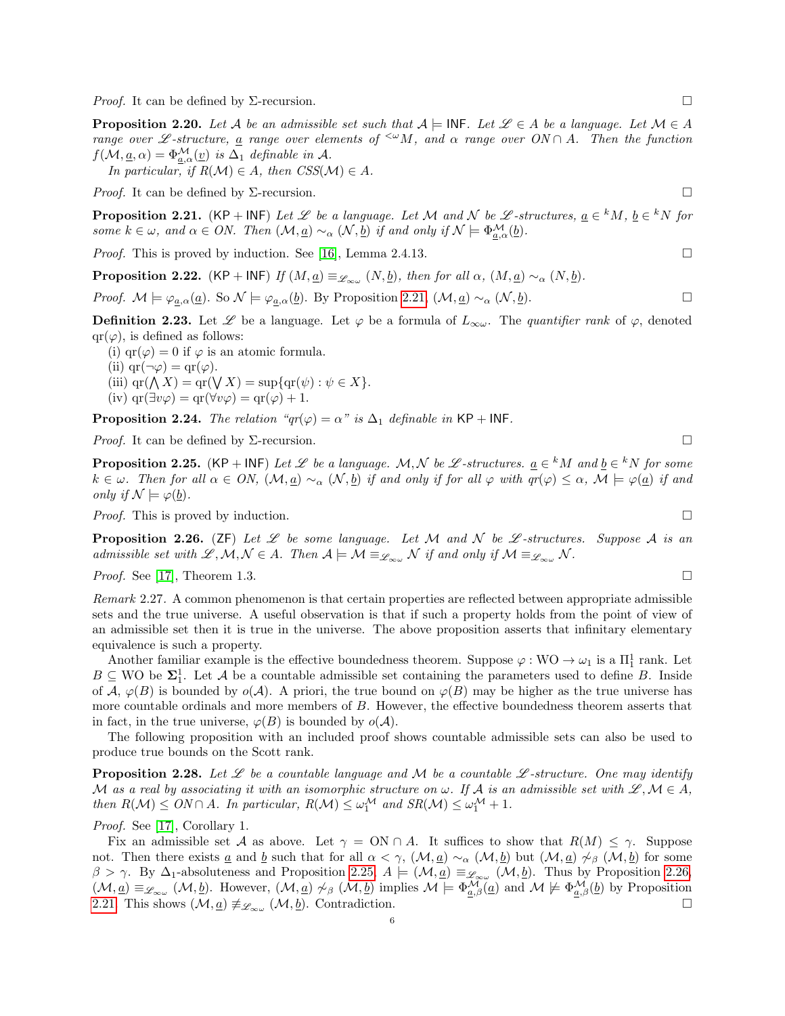*Proof.* It can be defined by  $\Sigma$ -recursion.

<span id="page-5-4"></span>**Proposition 2.20.** Let A be an admissible set such that  $A \models \mathsf{INF}$ . Let  $\mathscr{L} \in A$  be a language. Let  $\mathcal{M} \in A$ range over L -structure, a range over elements of  $\leq^{\omega} M$ , and  $\alpha$  range over  $ON \cap A$ . Then the function  $f(\mathcal{M}, \underline{a}, \alpha) = \Phi_{a,\alpha}^{\mathcal{M}}(\underline{v})$  is  $\Delta_1$  definable in A.

In particular, if  $R(\mathcal{M}) \in A$ , then  $CSS(\mathcal{M}) \in A$ .

*Proof.* It can be defined by  $\Sigma$ -recursion.

<span id="page-5-0"></span>**Proposition 2.21.** (KP + INF) Let  $\mathscr L$  be a language. Let M and N be  $\mathscr L$ -structures,  $\underline{a} \in {}^k M$ ,  $\underline{b} \in {}^k N$  for some  $k \in \omega$ , and  $\alpha \in ON$ . Then  $(\mathcal{M}, \underline{a}) \sim_{\alpha} (\mathcal{N}, \underline{b})$  if and only if  $\mathcal{N} \models \Phi_{a,\alpha}^{\mathcal{M}}(\underline{b})$ .

*Proof.* This is proved by induction. See [\[16\]](#page-18-8), Lemma 2.4.13.

**Proposition 2.22.** (KP + INF) If  $(M, \underline{a}) \equiv_{\mathscr{L}_{\infty}(\omega)} (N, \underline{b})$ , then for all  $\alpha$ ,  $(M, \underline{a}) \sim_{\alpha} (N, \underline{b})$ .

*Proof.*  $M \models \varphi_{\underline{a},\alpha}(\underline{a})$ . So  $\mathcal{N} \models \varphi_{\underline{a},\alpha}(\underline{b})$ . By Proposition [2.21,](#page-5-0)  $(\mathcal{M}, \underline{a}) \sim_{\alpha} (\mathcal{N}, \underline{b})$ .

**Definition 2.23.** Let  $\mathscr L$  be a language. Let  $\varphi$  be a formula of  $L_{\infty\omega}$ . The quantifier rank of  $\varphi$ , denoted  $qr(\varphi)$ , is defined as follows:

(i)  $\text{qr}(\varphi) = 0$  if  $\varphi$  is an atomic formula.

(ii)  $\text{qr}(\neg \varphi) = \text{qr}(\varphi)$ .

(iii)  $\text{qr}(\bigwedge X) = \text{qr}(\bigvee X) = \text{sup}\{\text{qr}(\psi) : \psi \in X\}.$ 

(iv) 
$$
qr(\exists v\varphi) = qr(\forall v\varphi) = qr(\varphi) + 1.
$$

**Proposition 2.24.** The relation " $qr(\varphi) = \alpha$ " is  $\Delta_1$  definable in KP + INF.

*Proof.* It can be defined by  $\Sigma$ -recursion.

<span id="page-5-1"></span>**Proposition 2.25.** (KP + INF) Let  $\mathscr L$  be a language. M, N be  $\mathscr L$ -structures.  $\underline{a} \in {}^k M$  and  $\underline{b} \in {}^k N$  for some  $k \in \omega$ . Then for all  $\alpha \in ON$ ,  $(\mathcal{M}, \underline{a}) \sim_{\alpha} (\mathcal{N}, \underline{b})$  if and only if for all  $\varphi$  with  $qr(\varphi) \leq \alpha$ ,  $\mathcal{M} \models \varphi(\underline{a})$  if and only if  $\mathcal{N} \models \varphi(\underline{b})$ .

*Proof.* This is proved by induction.  $\square$ 

<span id="page-5-2"></span>**Proposition 2.26.** (ZF) Let L be some language. Let M and N be L-structures. Suppose A is an admissible set with  $\mathscr{L}, \mathcal{M}, \mathcal{N} \in A$ . Then  $\mathcal{A} \models \mathcal{M} \equiv_{\mathscr{L}_{\infty\omega}} \mathcal{N}$  if and only if  $\mathcal{M} \equiv_{\mathscr{L}_{\infty\omega}} \mathcal{N}$ .

*Proof.* See [\[17\]](#page-18-9), Theorem 1.3.

Remark 2.27. A common phenomenon is that certain properties are reflected between appropriate admissible sets and the true universe. A useful observation is that if such a property holds from the point of view of an admissible set then it is true in the universe. The above proposition asserts that infinitary elementary equivalence is such a property.

Another familiar example is the effective boundedness theorem. Suppose  $\varphi : WO \to \omega_1$  is a  $\Pi_1^1$  rank. Let  $B \subseteq WO$  be  $\Sigma_1^1$ . Let A be a countable admissible set containing the parameters used to define B. Inside of A,  $\varphi(B)$  is bounded by  $o(\mathcal{A})$ . A priori, the true bound on  $\varphi(B)$  may be higher as the true universe has more countable ordinals and more members of B. However, the effective boundedness theorem asserts that in fact, in the true universe,  $\varphi(B)$  is bounded by  $o(\mathcal{A})$ .

The following proposition with an included proof shows countable admissible sets can also be used to produce true bounds on the Scott rank.

<span id="page-5-3"></span>**Proposition 2.28.** Let  $\mathcal{L}$  be a countable language and M be a countable  $\mathcal{L}$ -structure. One may identify M as a real by associating it with an isomorphic structure on  $\omega$ . If A is an admissible set with  $\mathscr{L}, \mathcal{M} \in A$ , then  $R(\mathcal{M}) \leq ON \cap A$ . In particular,  $R(\mathcal{M}) \leq \omega_1^{\mathcal{M}}$  and  $SR(\mathcal{M}) \leq \omega_1^{\mathcal{M}} + 1$ .

Proof. See [\[17\]](#page-18-9), Corollary 1.

Fix an admissible set A as above. Let  $\gamma = \text{ON} \cap A$ . It suffices to show that  $R(M) \leq \gamma$ . Suppose not. Then there exists  $\underline{a}$  and  $\underline{b}$  such that for all  $\alpha < \gamma$ ,  $(\mathcal{M}, \underline{a}) \sim_{\alpha} (\mathcal{M}, \underline{b})$  but  $(\mathcal{M}, \underline{a}) \not\sim_{\beta} (\mathcal{M}, \underline{b})$  for some  $\beta > \gamma$ . By  $\Delta_1$ -absoluteness and Proposition [2.25,](#page-5-1)  $A \models (\mathcal{M}, \underline{a}) \equiv_{\mathscr{L}_{\infty\omega}} (\mathcal{M}, \underline{b})$ . Thus by Proposition [2.26,](#page-5-2)  $(\mathcal{M}, \underline{a}) \equiv_{\mathscr{L}_{\infty,\omega}} (\mathcal{M}, \underline{b})$ . However,  $(\mathcal{M}, \underline{a}) \not\sim_{\beta} (\mathcal{M}, \underline{b})$  implies  $\mathcal{M} \models \Phi^{\mathcal{M}}_{\underline{a},\beta}(\underline{a})$  and  $\mathcal{M} \not\models \Phi^{\mathcal{M}}_{\underline{a},\beta}(\underline{b})$  by Proposition [2.21.](#page-5-0) This shows  $(\mathcal{M}, \underline{a}) \not\equiv_{\mathscr{L}_{\infty\omega}} (\mathcal{M}, \underline{b})$ . Contradiction.  $(\mathcal{M}, \underline{b})$ . Contradiction.

$$
\overline{a}
$$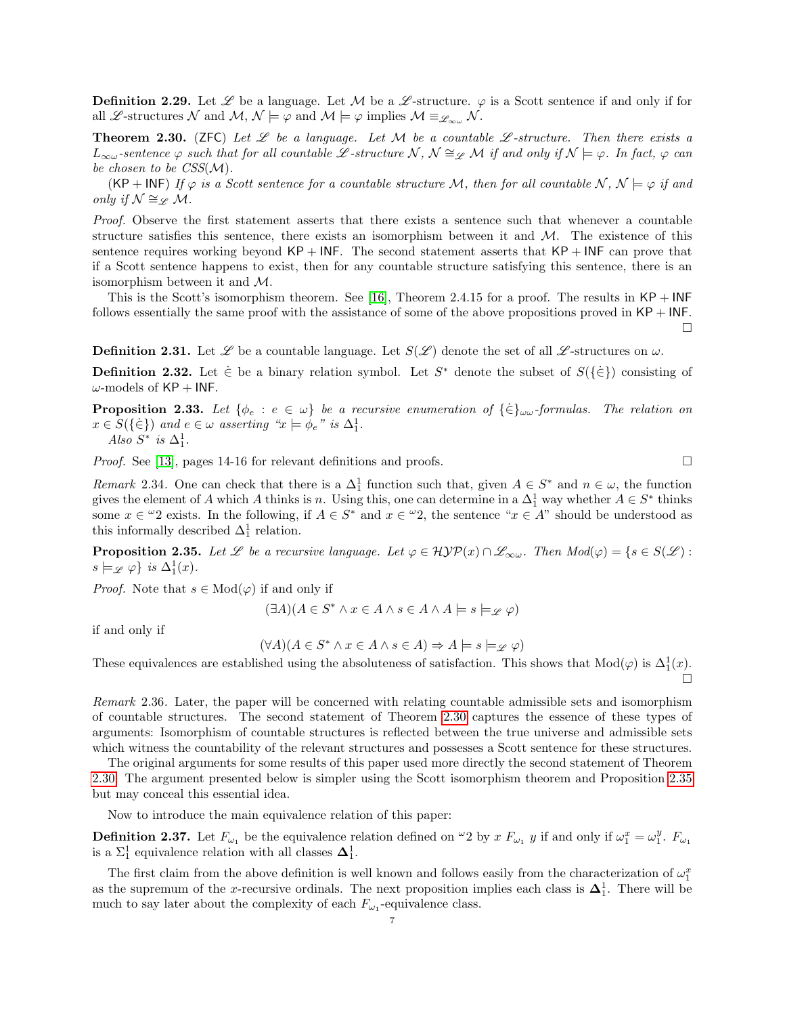**Definition 2.29.** Let  $\mathscr L$  be a language. Let M be a  $\mathscr L$ -structure.  $\varphi$  is a Scott sentence if and only if for all L -structures N and  $M, N \models \varphi$  and  $M \models \varphi$  implies  $M \equiv_{\mathscr{L}_{\infty} \omega} N$ .

<span id="page-6-0"></span>**Theorem 2.30.** (ZFC) Let  $\mathscr L$  be a language. Let M be a countable  $\mathscr L$ -structure. Then there exists a  $L_{\infty\omega}$ -sentence  $\varphi$  such that for all countable L-structure  $\mathcal{N}, \mathcal{N} \cong_{\mathscr{L}} \mathcal{M}$  if and only if  $\mathcal{N} \models \varphi$ . In fact,  $\varphi$  can be chosen to be  $CSS(\mathcal{M})$ .

(KP + INF) If  $\varphi$  is a Scott sentence for a countable structure M, then for all countable N,  $\mathcal{N} \models \varphi$  if and only if  $\mathcal{N} \cong \varphi \mathcal{M}$ .

Proof. Observe the first statement asserts that there exists a sentence such that whenever a countable structure satisfies this sentence, there exists an isomorphism between it and  $M$ . The existence of this sentence requires working beyond  $KP + INF$ . The second statement asserts that  $KP + INF$  can prove that if a Scott sentence happens to exist, then for any countable structure satisfying this sentence, there is an isomorphism between it and M.

This is the Scott's isomorphism theorem. See [\[16\]](#page-18-8), Theorem 2.4.15 for a proof. The results in  $\mathsf{KP} + \mathsf{INF}$ follows essentially the same proof with the assistance of some of the above propositions proved in  $KP + INF$ .

**Definition 2.31.** Let  $\mathscr L$  be a countable language. Let  $S(\mathscr L)$  denote the set of all  $\mathscr L$ -structures on  $\omega$ .

**Definition 2.32.** Let  $\dot{\in}$  be a binary relation symbol. Let S<sup>\*</sup> denote the subset of  $S(\{\dot{\in}\})$  consisting of  $\omega$ -models of KP + INF.

**Proposition 2.33.** Let  $\{\phi_e : e \in \omega\}$  be a recursive enumeration of  $\{\dot{\in}\}_\omega$ -formulas. The relation on  $x \in S(\{\in\})$  and  $e \in \omega$  asserting " $x \models \phi_e$ " is  $\Delta_1^1$ . Also  $S^*$  is  $\Delta_1^1$ .

*Proof.* See [\[13\]](#page-18-10), pages 14-16 for relevant definitions and proofs.  $\square$ 

<span id="page-6-2"></span>Remark 2.34. One can check that there is a  $\Delta_1^1$  function such that, given  $A \in S^*$  and  $n \in \omega$ , the function gives the element of A which A thinks is n. Using this, one can determine in a  $\Delta_1^1$  way whether  $A \in S^*$  thinks some  $x \in \omega_2$  exists. In the following, if  $A \in S^*$  and  $x \in \omega_2$ , the sentence " $x \in A$ " should be understood as this informally described  $\Delta_1^1$  relation.

<span id="page-6-1"></span>**Proposition 2.35.** Let  $\mathscr L$  be a recursive language. Let  $\varphi \in \mathcal{HYP}(x) \cap \mathscr L_{\infty \omega}$ . Then  $Mod(\varphi) = \{s \in S(\mathscr L) :$  $s \models_{\mathscr{L}} \varphi$  is  $\Delta_1^1(x)$ .

*Proof.* Note that  $s \in Mod(\varphi)$  if and only if

$$
(\exists A)(A \in S^* \land x \in A \land s \in A \land A \models s \models_{\mathscr{L}} \varphi)
$$

if and only if

$$
(\forall A)(A \in S^* \land x \in A \land s \in A) \Rightarrow A \models s \models_{\mathscr{L}} \varphi)
$$

These equivalences are established using the absoluteness of satisfaction. This shows that  $Mod(\varphi)$  is  $\Delta_1^1(x)$ . П

Remark 2.36. Later, the paper will be concerned with relating countable admissible sets and isomorphism of countable structures. The second statement of Theorem [2.30](#page-6-0) captures the essence of these types of arguments: Isomorphism of countable structures is reflected between the true universe and admissible sets which witness the countability of the relevant structures and possesses a Scott sentence for these structures.

The original arguments for some results of this paper used more directly the second statement of Theorem [2.30.](#page-6-0) The argument presented below is simpler using the Scott isomorphism theorem and Proposition [2.35](#page-6-1) but may conceal this essential idea.

Now to introduce the main equivalence relation of this paper:

**Definition 2.37.** Let  $F_{\omega_1}$  be the equivalence relation defined on  $\omega_2$  by x  $F_{\omega_1}$  y if and only if  $\omega_1^x = \omega_1^y$ .  $F_{\omega_1}$ is a  $\Sigma_1^1$  equivalence relation with all classes  $\mathbf{\Delta}_1^1$ .

The first claim from the above definition is well known and follows easily from the characterization of  $\omega_1^x$ as the supremum of the x-recursive ordinals. The next proposition implies each class is  $\Delta_1^1$ . There will be much to say later about the complexity of each  $F_{\omega_1}$ -equivalence class.

 $\Box$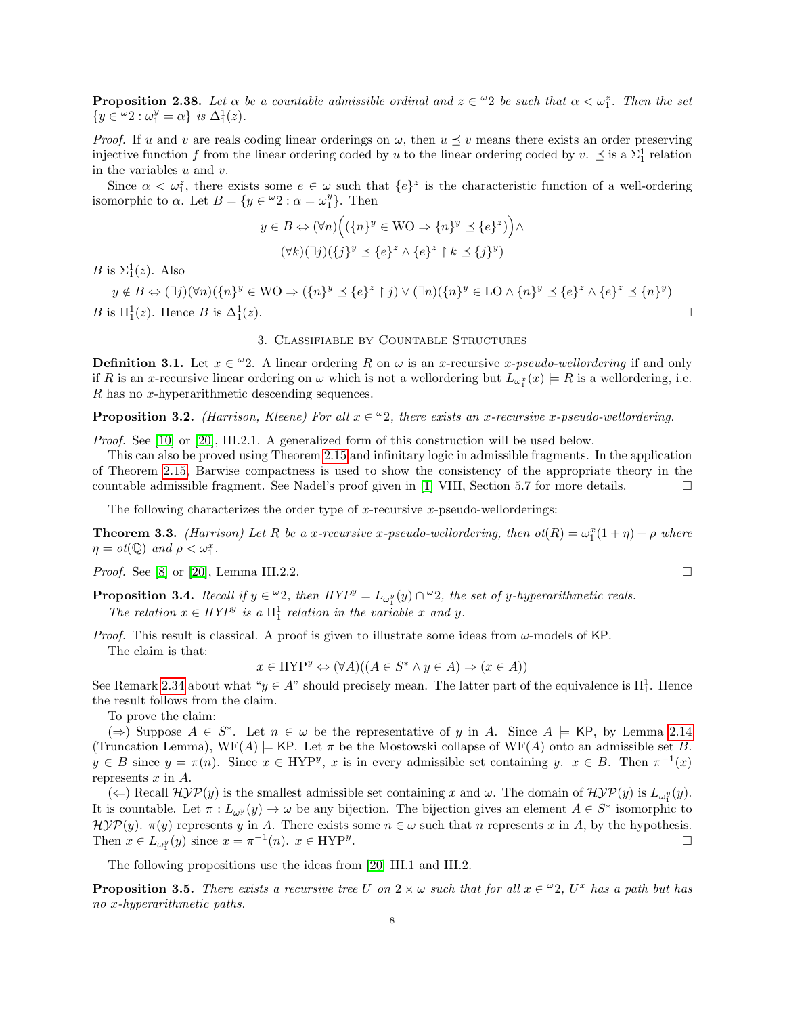<span id="page-7-4"></span>**Proposition 2.38.** Let  $\alpha$  be a countable admissible ordinal and  $z \in \alpha/2$  be such that  $\alpha < \omega_1^z$ . Then the set  $\{y \in \omega_2 : \omega_1^y = \alpha\}$  is  $\Delta_1^1(z)$ .

*Proof.* If u and v are reals coding linear orderings on  $\omega$ , then  $u \leq v$  means there exists an order preserving injective function f from the linear ordering coded by u to the linear ordering coded by  $v.\preceq$  is a  $\Sigma_1^1$  relation in the variables  $u$  and  $v$ .

Since  $\alpha < \omega_1^z$ , there exists some  $e \in \omega$  such that  $\{e\}^z$  is the characteristic function of a well-ordering isomorphic to  $\alpha$ . Let  $B = \{y \in \omega_2 : \alpha = \omega_1^y\}$ . Then

$$
y \in B \Leftrightarrow (\forall n) \Big( (\{n\}^y \in \text{WO} \Rightarrow \{n\}^y \preceq \{e\}^z) \Big) \wedge
$$

$$
(\forall k) (\exists j) (\{j\}^y \preceq \{e\}^z \wedge \{e\}^z \upharpoonright k \preceq \{j\}^y)
$$

B is  $\Sigma_1^1(z)$ . Also

 $y \notin B \Leftrightarrow (\exists j)(\forall n)(\{n\}^y \in \mathbb{W} \cup \Rightarrow (\{n\}^y \preceq \{e\}^z \upharpoonright j) \vee (\exists n)(\{n\}^y \in \mathbb{L} \cup \land \{n\}^y \preceq \{e\}^z \land \{e\}^z \preceq \{n\}^y)$ B is  $\Pi_1^1(z)$ . Hence B is  $\Delta_1^1$  $(z).$ 

### 3. Classifiable by Countable Structures

<span id="page-7-0"></span>**Definition 3.1.** Let  $x \in \omega$  2. A linear ordering R on  $\omega$  is an x-recursive x-pseudo-wellordering if and only if R is an x-recursive linear ordering on  $\omega$  which is not a wellordering but  $L_{\omega_1^x}(x) \models R$  is a wellordering, i.e. R has no x-hyperarithmetic descending sequences.

**Proposition 3.2.** (Harrison, Kleene) For all  $x \in \omega$ , there exists an x-recursive x-pseudo-wellordering.

Proof. See [\[10\]](#page-18-11) or [\[20\]](#page-18-12), III.2.1. A generalized form of this construction will be used below.

This can also be proved using Theorem [2.15](#page-3-1) and infinitary logic in admissible fragments. In the application of Theorem [2.15,](#page-3-1) Barwise compactness is used to show the consistency of the appropriate theory in the countable admissible fragment. See Nadel's proof given in [\[1\]](#page-18-13) VIII, Section 5.7 for more details.  $\square$ 

The following characterizes the order type of x-recursive x-pseudo-wellorderings:

<span id="page-7-3"></span>**Theorem 3.3.** (Harrison) Let R be a x-recursive x-pseudo-wellordering, then  $ot(R) = \omega_1^x(1+\eta) + \rho$  where  $\eta = \text{ot}(\mathbb{Q})$  and  $\rho < \omega_1^x$ .

*Proof.* See [\[8\]](#page-18-14) or [\[20\]](#page-18-12), Lemma III.2.2.

<span id="page-7-1"></span>**Proposition 3.4.** Recall if  $y \in \omega_2$ , then  $HYP^y = L_{\omega_1^y}(y) \cap \omega_2$ , the set of y-hyperarithmetic reals. The relation  $x \in HYP^y$  is a  $\Pi_1^1$  relation in the variable x and y.

*Proof.* This result is classical. A proof is given to illustrate some ideas from  $\omega$ -models of KP. The claim is that:

 $x \in \text{HYP}^y \Leftrightarrow (\forall A)((A \in S^* \land y \in A) \Rightarrow (x \in A))$ 

See Remark [2.34](#page-6-2) about what " $y \in A$ " should precisely mean. The latter part of the equivalence is  $\Pi_1^1$ . Hence the result follows from the claim.

To prove the claim:

(⇒) Suppose  $A \in S^*$ . Let  $n \in \omega$  be the representative of y in A. Since  $A \models$  KP, by Lemma [2.14](#page-3-2) (Truncation Lemma),  $WF(A) \models KP$ . Let  $\pi$  be the Mostowski collapse of  $WF(A)$  onto an admissible set B.  $y \in B$  since  $y = \pi(n)$ . Since  $x \in \text{HYP}^y$ , x is in every admissible set containing y.  $x \in B$ . Then  $\pi^{-1}(x)$ represents  $x$  in  $A$ .

( $\Leftarrow$ ) Recall  $\mathcal{H} \mathcal{Y} \mathcal{P}(y)$  is the smallest admissible set containing x and  $\omega$ . The domain of  $\mathcal{H} \mathcal{Y} \mathcal{P}(y)$  is  $L_{\omega_1^y}(y)$ . It is countable. Let  $\pi: L_{\omega_1^y}(y) \to \omega$  be any bijection. The bijection gives an element  $A \in S^*$  isomorphic to  $\mathcal{H} \mathcal{Y} \mathcal{P}(y)$ .  $\pi(y)$  represents y in A. There exists some  $n \in \omega$  such that n represents x in A, by the hypothesis. Then  $x \in L_{\omega_1^y}(y)$  since  $x = \pi^{-1}(n)$ .  $x \in \text{HYP}^y$ .

The following propositions use the ideas from [\[20\]](#page-18-12) III.1 and III.2.

<span id="page-7-2"></span>**Proposition 3.5.** There exists a recursive tree U on  $2 \times \omega$  such that for all  $x \in \mathcal{L}$ , U<sup>x</sup> has a path but has no x-hyperarithmetic paths.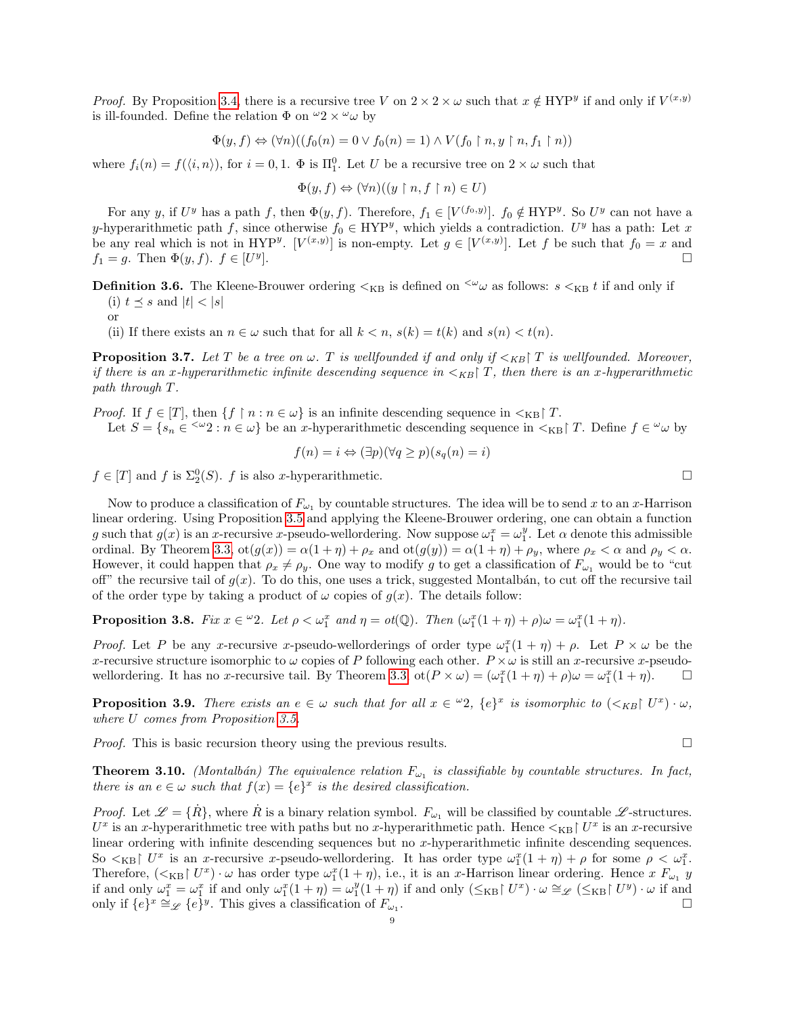*Proof.* By Proposition [3.4,](#page-7-1) there is a recursive tree V on  $2 \times 2 \times \omega$  such that  $x \notin HYP^y$  if and only if  $V^{(x,y)}$ is ill-founded. Define the relation  $\Phi$  on  $\omega_2 \times \omega_0$  by

$$
\Phi(y, f) \Leftrightarrow (\forall n)((f_0(n) = 0 \lor f_0(n) = 1) \land V(f_0 \restriction n, y \restriction n, f_1 \restriction n))
$$

where  $f_i(n) = f(\langle i, n \rangle)$ , for  $i = 0, 1$ .  $\Phi$  is  $\Pi_1^0$ . Let U be a recursive tree on  $2 \times \omega$  such that

$$
\Phi(y, f) \Leftrightarrow (\forall n)((y \restriction n, f \restriction n) \in U)
$$

For any y, if  $U^y$  has a path f, then  $\Phi(y, f)$ . Therefore,  $f_1 \in [V^{(f_0, y)}]$ .  $f_0 \notin HYP^y$ . So  $U^y$  can not have a y-hyperarithmetic path f, since otherwise  $f_0 \in \text{HYP}^y$ , which yields a contradiction. U<sup>y</sup> has a path: Let x be any real which is not in HYP<sup>y</sup>. [ $V^{(x,y)}$ ] is non-empty. Let  $g \in [V^{(x,y)}]$ . Let f be such that  $f_0 = x$  and  $f_1 = g$ . Then  $\Phi(y, f)$ .  $f \in [U^y]$ ].

**Definition 3.6.** The Kleene-Brouwer ordering  $\lt_{KB}$  is defined on  $\leq^{\omega} \omega$  as follows:  $s \lt_{KB} t$  if and only if

(i)  $t \preceq s$  and  $|t| < |s|$ 

or

(ii) If there exists an  $n \in \omega$  such that for all  $k < n$ ,  $s(k) = t(k)$  and  $s(n) < t(n)$ .

**Proposition 3.7.** Let T be a tree on  $\omega$ . T is wellfounded if and only if  $\lt k_B$  T is wellfounded. Moreover, if there is an x-hyperarithmetic infinite descending sequence in  $\lt k_{\text{B}}$  T, then there is an x-hyperarithmetic path through T.

*Proof.* If  $f \in [T]$ , then  $\{f \mid n : n \in \omega\}$  is an infinite descending sequence in  $\langle K \rangle$  T.

Let  $S = \{s_n \in \infty : n \in \omega\}$  be an x-hyperarithmetic descending sequence in  $\lt_{KB}$   $T$ . Define  $f \in \omega$  by

$$
f(n) = i \Leftrightarrow (\exists p)(\forall q \ge p)(s_q(n) = i)
$$

 $f \in [T]$  and f is  $\Sigma_2^0(S)$ . f is also x-hyperarithmetic.

Now to produce a classification of  $F_{\omega_1}$  by countable structures. The idea will be to send x to an x-Harrison linear ordering. Using Proposition [3.5](#page-7-2) and applying the Kleene-Brouwer ordering, one can obtain a function g such that  $g(x)$  is an x-recursive x-pseudo-wellordering. Now suppose  $\omega_1^x = \omega_1^y$ . Let  $\alpha$  denote this admissible ordinal. By Theorem [3.3,](#page-7-3)  $\text{ot}(g(x)) = \alpha(1 + \eta) + \rho_x$  and  $\text{ot}(g(y)) = \alpha(1 + \eta) + \rho_y$ , where  $\rho_x < \alpha$  and  $\rho_y < \alpha$ . However, it could happen that  $\rho_x \neq \rho_y$ . One way to modify g to get a classification of  $F_{\omega_1}$  would be to "cut off" the recursive tail of  $g(x)$ . To do this, one uses a trick, suggested Montalbán, to cut off the recursive tail of the order type by taking a product of  $\omega$  copies of  $q(x)$ . The details follow:

**Proposition 3.8.** Fix  $x \in \omega_2$ . Let  $\rho < \omega_1^x$  and  $\eta = \text{ot}(\mathbb{Q})$ . Then  $(\omega_1^x(1 + \eta) + \rho)\omega = \omega_1^x(1 + \eta)$ .

*Proof.* Let P be any x-recursive x-pseudo-wellorderings of order type  $\omega_1^x(1 + \eta) + \rho$ . Let  $P \times \omega$  be the x-recursive structure isomorphic to  $\omega$  copies of P following each other.  $P \times \omega$  is still an x-recursive x-pseudo-wellordering. It has no x-recursive tail. By Theorem [3.3,](#page-7-3)  $\cot(P \times \omega) = (\omega_1^x(1 + \eta) + \rho)\omega = \omega_1^x(1 + \eta)$ .

**Proposition 3.9.** There exists an  $e \in \omega$  such that for all  $x \in {}^{\omega}2$ ,  $\{e\}^x$  is isomorphic to  $(\langle \overline{\chi_B} | U^x |) \cdot \omega$ , where U comes from Proposition [3.5.](#page-7-2)

*Proof.* This is basic recursion theory using the previous results.  $\square$ 

<span id="page-8-0"></span>**Theorem 3.10.** (Montalbán) The equivalence relation  $F_{\omega_1}$  is classifiable by countable structures. In fact, there is an  $e \in \omega$  such that  $f(x) = \{e\}^x$  is the desired classification.

*Proof.* Let  $\mathscr{L} = {\hat{R}}$ , where  $\hat{R}$  is a binary relation symbol.  $F_{\omega_1}$  will be classified by countable  $\mathscr{L}$ -structures.  $U^x$  is an x-hyperarithmetic tree with paths but no x-hyperarithmetic path. Hence  $\lt_{KB}$   $\mid U^x$  is an x-recursive linear ordering with infinite descending sequences but no x-hyperarithmetic infinite descending sequences. So  $\langle \times_{KB} \rangle$  U<sup>x</sup> is an x-recursive x-pseudo-wellordering. It has order type  $\omega_1^x(1 + \eta) + \rho$  for some  $\rho \langle \omega_1^x$ . Therefore,  $(<_{KB} \upharpoonright U^x) \cdot \omega$  has order type  $\omega_1^x(1+\eta)$ , i.e., it is an x-Harrison linear ordering. Hence x  $F_{\omega_1}$  y if and only  $\omega_1^x = \omega_1^x$  if and only  $\omega_1^x(1+\eta) = \omega_1^y(1+\eta)$  if and only  $(\leq_{\text{KB}} \upharpoonright U^x) \cdot \omega \cong_{\mathscr{L}} (\leq_{\text{KB}} \upharpoonright U^y) \cdot \omega$  if and only if  $\{e\}^x \cong_{\mathscr{L}} \{e\}^y$ . This gives a classification of  $F_{\omega_1}$ .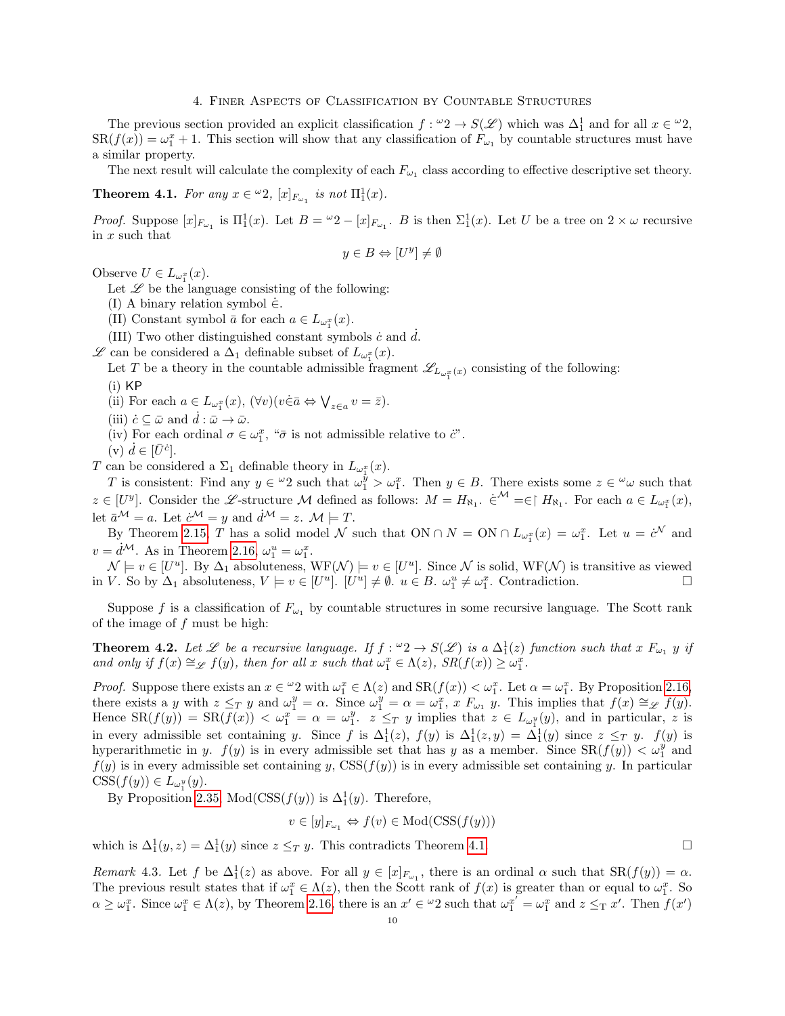#### 4. Finer Aspects of Classification by Countable Structures

<span id="page-9-0"></span>The previous section provided an explicit classification  $f: \omega_2 \to S(\mathscr{L})$  which was  $\Delta_1^1$  and for all  $x \in \omega_2$ ,  $SR(f(x)) = \omega_1^x + 1$ . This section will show that any classification of  $F_{\omega_1}$  by countable structures must have a similar property.

The next result will calculate the complexity of each  $F_{\omega_1}$  class according to effective descriptive set theory.

# <span id="page-9-2"></span>**Theorem 4.1.** For any  $x \in \omega_2$ ,  $[x]_{F_{\omega_1}}$  is not  $\Pi_1^1(x)$ .

*Proof.* Suppose  $[x]_{F_{\omega_1}}$  is  $\Pi_1^1(x)$ . Let  $B = {}^{\omega}2 - [x]_{F_{\omega_1}}$ . B is then  $\Sigma_1^1(x)$ . Let U be a tree on  $2 \times \omega$  recursive in x such that

$$
y \in B \Leftrightarrow [U^y] \neq \emptyset
$$

Observe  $U \in L_{\omega_1^x}(x)$ .

Let  $\mathscr L$  be the language consisting of the following:

(I) A binary relation symbol  $\dot{\in}$ .

(II) Constant symbol  $\bar{a}$  for each  $a \in L_{\omega_1^x}(x)$ .

(III) Two other distinguished constant symbols  $\dot{c}$  and  $d$ .

 $\mathscr L$  can be considered a  $\Delta_1$  definable subset of  $L_{\omega_1^x}(x)$ .

Let T be a theory in the countable admissible fragment  $\mathscr{L}_{L_{\omega_1^x}(x)}$  consisting of the following:

- (i) KP
- (ii) For each  $a \in L_{\omega_1^x}(x)$ ,  $(\forall v)(v \in \bar{a} \Leftrightarrow \bigvee_{z \in a} v = \bar{z}).$
- (iii)  $\dot{c} \subseteq \bar{\omega}$  and  $d : \bar{\omega} \to \bar{\omega}$ .
- (iv) For each ordinal  $\sigma \in \omega_1^x$ , " $\bar{\sigma}$  is not admissible relative to  $\dot{c}$ ".
- (v)  $\dot{d} \in [\bar{U}^{\dot{c}}].$

T can be considered a  $\Sigma_1$  definable theory in  $L_{\omega_1^x}(x)$ .

T is consistent: Find any  $y \in {}^{\omega}2$  such that  $\omega_1^{\dot{y}} > \omega_1^x$ . Then  $y \in B$ . There exists some  $z \in {}^{\omega}\omega$  such that  $z \in [U^y]$ . Consider the L-structure M defined as follows:  $M = H_{\aleph_1}$ .  $\in^{\mathcal{M}} = \in \upharpoonright H_{\aleph_1}$ . For each  $a \in L_{\omega_1^x}(x)$ , let  $\bar{a}^{\mathcal{M}} = a$ . Let  $\dot{c}^{\mathcal{M}} = y$  and  $\dot{d}^{\mathcal{M}} = z$ .  $\mathcal{M} \models T$ .

By Theorem [2.15,](#page-3-1) T has a solid model N such that  $ON \cap N = ON \cap L_{\omega_1^x}(x) = \omega_1^x$ . Let  $u = c^{\mathcal{N}}$  and  $v = \dot{d}^{\mathcal{M}}$ . As in Theorem [2.16,](#page-3-0)  $\omega_1^u = \omega_1^x$ .

 $\mathcal{N} \models v \in [U^u]$ . By  $\Delta_1$  absoluteness,  $WF(\mathcal{N}) \models v \in [U^u]$ . Since  $\mathcal{N}$  is solid,  $WF(\mathcal{N})$  is transitive as viewed in V. So by  $\Delta_1$  absoluteness,  $V \models v \in [U^u]$ .  $[U^u] \neq \emptyset$ .  $u \in B$ .  $\omega_1^u \neq \omega_1^x$ . Contradiction.

Suppose f is a classification of  $F_{\omega_1}$  by countable structures in some recursive language. The Scott rank of the image of f must be high:

<span id="page-9-1"></span>**Theorem 4.2.** Let L be a recursive language. If  $f: "2 \to S(\mathcal{L})$  is a  $\Delta_1^1(z)$  function such that x  $F_{\omega_1}$  y if and only if  $f(x) \cong_{\mathscr{L}} f(y)$ , then for all x such that  $\omega_1^x \in \Lambda(z)$ ,  $SR(f(x)) \ge \omega_1^x$ .

*Proof.* Suppose there exists an  $x \in \omega_2$  with  $\omega_1^x \in \Lambda(z)$  and  $\text{SR}(f(x)) < \omega_1^x$ . Let  $\alpha = \omega_1^x$ . By Proposition [2.16,](#page-3-0) there exists a y with  $z \leq_T y$  and  $\omega_1^y = \alpha$ . Since  $\omega_1^y = \alpha = \omega_1^x$ , x  $F_{\omega_1} y$ . This implies that  $f(x) \cong_{\mathscr{L}} f(y)$ . Hence  $SR(f(y)) = SR(f(x)) < \omega_1^x = \alpha = \omega_1^y$ .  $z \leq_T y$  implies that  $z \in L_{\omega_1^y}(y)$ , and in particular, z is in every admissible set containing y. Since f is  $\Delta_1^1(z)$ ,  $f(y)$  is  $\Delta_1^1(z,y) = \Delta_1^1(y)$  since  $z \leq_T y$ .  $f(y)$  is hyperarithmetic in y.  $f(y)$  is in every admissible set that has y as a member. Since  $SR(f(y)) < \omega_1^y$  and  $f(y)$  is in every admissible set containing y,  $\text{CSS}(f(y))$  is in every admissible set containing y. In particular  $\text{CSS}(f(y)) \in L_{\omega_1^y}(y).$ 

By Proposition [2.35,](#page-6-1) Mod( $\text{CSS}(f(y))$  is  $\Delta_1^1(y)$ . Therefore,

$$
v \in [y]_{F_{\omega_1}} \Leftrightarrow f(v) \in \text{Mod}(\text{CSS}(f(y)))
$$

which is  $\Delta_1^1(y, z) = \Delta_1^1(y)$  since  $z \leq_T y$ . This contradicts Theorem [4.1.](#page-9-2)

Remark 4.3. Let f be  $\Delta_1^1(z)$  as above. For all  $y \in [x]_{F_{\omega_1}}$ , there is an ordinal  $\alpha$  such that  $SR(f(y)) = \alpha$ . The previous result states that if  $\omega_1^x \in \Lambda(z)$ , then the Scott rank of  $f(x)$  is greater than or equal to  $\omega_1^x$ . So  $\alpha \geq \omega_1^x$ . Since  $\omega_1^x \in \Lambda(z)$ , by Theorem [2.16,](#page-3-0) there is an  $x' \in {}^{\omega}2$  such that  $\omega_1^{x'} = \omega_1^x$  and  $z \leq_T x'$ . Then  $f(x')$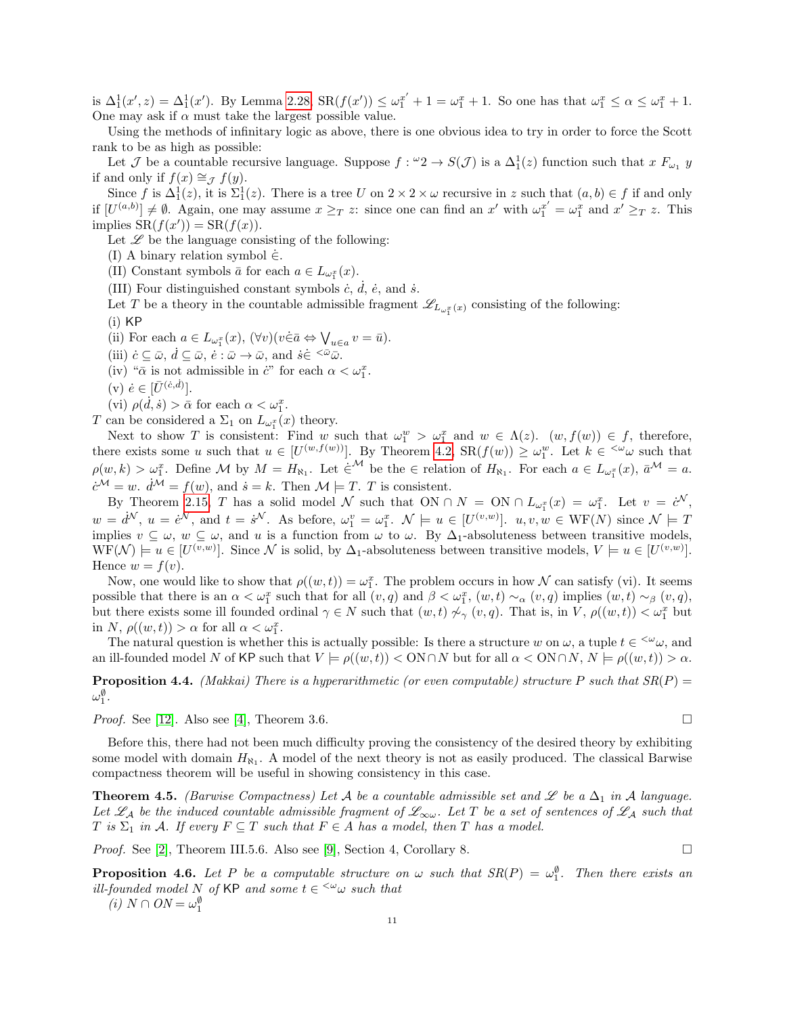is  $\Delta_1^1(x',z) = \Delta_1^1(x')$ . By Lemma [2.28,](#page-5-3)  $SR(f(x')) \leq \omega_1^{x'} + 1 = \omega_1^x + 1$ . So one has that  $\omega_1^x \leq \alpha \leq \omega_1^x + 1$ . One may ask if  $\alpha$  must take the largest possible value.

Using the methods of infinitary logic as above, there is one obvious idea to try in order to force the Scott rank to be as high as possible:

Let J be a countable recursive language. Suppose  $f: \omega_2 \to S(\mathcal{J})$  is a  $\Delta_1^1(z)$  function such that  $x F_{\omega_1} y$ if and only if  $f(x) \cong_{\mathcal{J}} f(y)$ .

Since f is  $\Delta_1^1(z)$ , it is  $\Sigma_1^1(z)$ . There is a tree U on  $2 \times 2 \times \omega$  recursive in z such that  $(a, b) \in f$  if and only if  $[U^{(a,b)}] \neq \emptyset$ . Again, one may assume  $x \geq_T z$ : since one can find an x' with  $\omega_1^{x'} = \omega_1^x$  and  $x' \geq_T z$ . This implies  $SR(f(x')) = SR(f(x)).$ 

Let  $\mathscr L$  be the language consisting of the following:

(I) A binary relation symbol  $\dot{\in}$ .

(II) Constant symbols  $\bar{a}$  for each  $a \in L_{\omega_1^x}(x)$ .

(III) Four distinguished constant symbols  $\dot{c}$ ,  $\dot{d}$ ,  $\dot{e}$ , and  $\dot{s}$ .

Let T be a theory in the countable admissible fragment  $\mathscr{L}_{L_{\omega_1^x}(x)}$  consisting of the following:

 $(i)$  KP

(ii) For each  $a \in L_{\omega_1^x}(x)$ ,  $(\forall v)(v \in \bar{a} \Leftrightarrow \bigvee_{u \in a} v = \bar{u}).$ 

(iii)  $\dot{c} \subseteq \bar{\omega}, \, \dot{d} \subseteq \bar{\omega}, \, \dot{e} : \bar{\omega} \to \bar{\omega}, \text{ and } \dot{s} \in \leq^{\bar{\omega}} \bar{\omega}.$ 

(iv) " $\bar{\alpha}$  is not admissible in  $\ddot{c}$ " for each  $\alpha < \omega_1^x$ .

 $(v) \; \dot{e} \in [\bar{U}^{(\dot{c},\dot{d})}].$ 

(vi)  $\rho(\dot{d}, \dot{s}) > \bar{\alpha}$  for each  $\alpha < \omega_1^x$ .

T can be considered a  $\Sigma_1$  on  $L_{\omega_1^x}(x)$  theory.

Next to show T is consistent: Find w such that  $\omega_1^w > \omega_1^x$  and  $w \in \Lambda(z)$ .  $(w, f(w)) \in f$ , therefore, there exists some u such that  $u \in [U^{(w,f(w))}]$ . By Theorem [4.2,](#page-9-1)  $\text{SR}(f(w)) \geq \omega_1^w$ . Let  $k \in \infty$  such that  $\rho(w,k) > \omega_1^x$ . Define M by  $M = H_{\aleph_1}$ . Let  $\dot{\in}^{\mathcal{M}}$  be the  $\in$  relation of  $H_{\aleph_1}$ . For each  $a \in L_{\omega_1^x}(x)$ ,  $\bar{a}^{\mathcal{M}} = a$ .  $\dot{c}^{\mathcal{M}} = w$ .  $\dot{d}^{\mathcal{M}} = f(w)$ , and  $\dot{s} = k$ . Then  $\mathcal{M} \models T$ . T is consistent.

By Theorem [2.15,](#page-3-1) T has a solid model N such that  $ON \cap N = ON \cap L_{\omega_1^x}(x) = \omega_1^x$ . Let  $v = c^N$ ,  $w = d^{\mathcal{N}}$ ,  $u = e^{\mathcal{N}}$ , and  $t = s^{\mathcal{N}}$ . As before,  $\omega_1^v = \omega_1^x$ .  $\mathcal{N} \models u \in [U^{(v,w)}]$ .  $u, v, w \in \text{WF}(N)$  since  $\mathcal{N} \models T$ implies  $v \subseteq \omega$ ,  $w \subseteq \omega$ , and u is a function from  $\omega$  to  $\omega$ . By  $\Delta_1$ -absoluteness between transitive models,  $WF(\mathcal{N}) \models u \in [U^{(v,w)}]$ . Since  $\mathcal{N}$  is solid, by  $\Delta_1$ -absoluteness between transitive models,  $V \models u \in [U^{(v,w)}]$ . Hence  $w = f(v)$ .

Now, one would like to show that  $\rho((w,t)) = \omega_1^x$ . The problem occurs in how N can satisfy (vi). It seems possible that there is an  $\alpha < \omega_1^x$  such that for all  $(v, q)$  and  $\beta < \omega_1^x$ ,  $(w, t) \sim_\alpha (v, q)$  implies  $(w, t) \sim_\beta (v, q)$ , but there exists some ill founded ordinal  $\gamma \in N$  such that  $(w, t) \not\sim_\gamma (v, q)$ . That is, in V,  $\rho((w, t)) < \omega_1^x$  but in N,  $\rho((w, t)) > \alpha$  for all  $\alpha < \omega_1^x$ .

The natural question is whether this is actually possible: Is there a structure w on  $\omega$ , a tuple  $t \in \langle \omega_\omega, \text{ and } \rangle$ an ill-founded model N of KP such that  $V \models \rho((w, t)) < ON \cap N$  but for all  $\alpha < ON \cap N$ ,  $N \models \rho((w, t)) > \alpha$ .

**Proposition 4.4.** (Makkai) There is a hyperarithmetic (or even computable) structure P such that  $SR(P)$  =  $\omega_1^{\emptyset}$  .

*Proof.* See [\[12\]](#page-18-15). Also see [\[4\]](#page-18-16), Theorem 3.6.

Before this, there had not been much difficulty proving the consistency of the desired theory by exhibiting some model with domain  $H_{\aleph_1}$ . A model of the next theory is not as easily produced. The classical Barwise compactness theorem will be useful in showing consistency in this case.

<span id="page-10-0"></span>**Theorem 4.5.** (Barwise Compactness) Let A be a countable admissible set and L be a  $\Delta_1$  in A language. Let  $\mathscr{L}_\mathcal{A}$  be the induced countable admissible fragment of  $\mathscr{L}_{\infty\omega}$ . Let T be a set of sentences of  $\mathscr{L}_\mathcal{A}$  such that T is  $\Sigma_1$  in A. If every  $F \subseteq T$  such that  $F \in A$  has a model, then T has a model.

*Proof.* See [\[2\]](#page-18-4), Theorem III.5.6. Also see [\[9\]](#page-18-5), Section 4, Corollary 8.

**Proposition 4.6.** Let P be a computable structure on  $\omega$  such that  $SR(P) = \omega_1^{\emptyset}$ . Then there exists an ill-founded model N of KP and some  $t \in \langle \omega \rangle$  such that

(*i*)  $N \cap ON = \omega_1^{\emptyset}$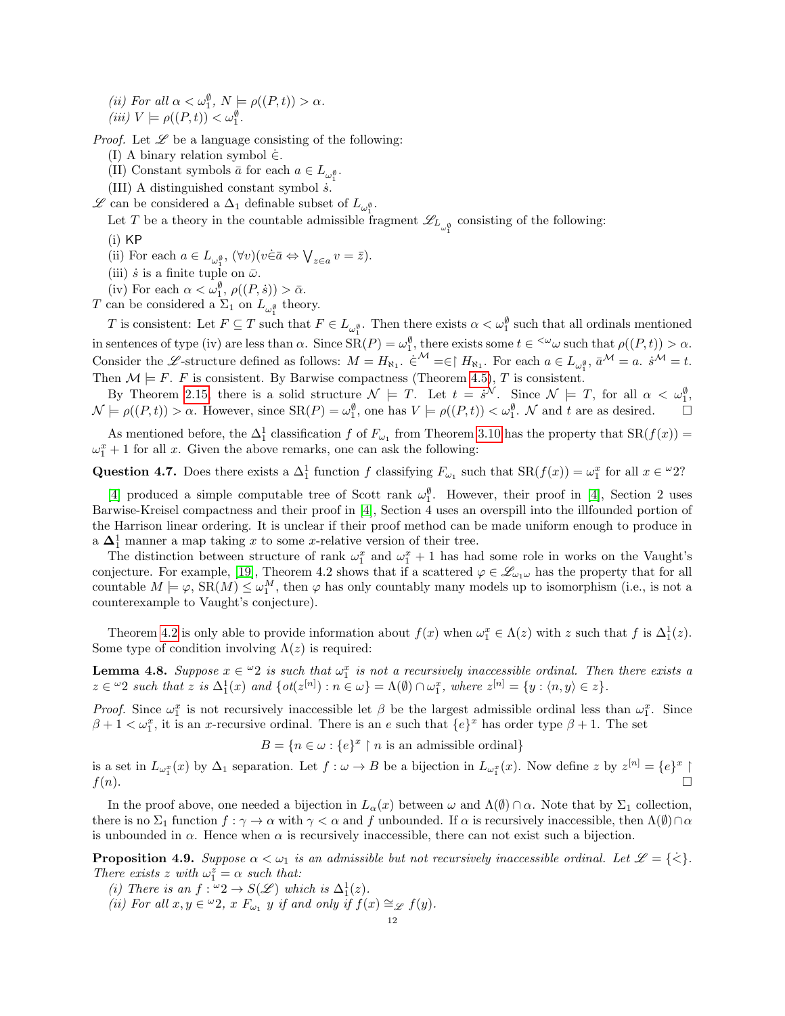(*ii*) For all  $\alpha < \omega_1^{\emptyset}$ ,  $N \models \rho((P, t)) > \alpha$ .

(iii)  $V \models \rho((P, t)) < \omega_1^{\emptyset}$ .

*Proof.* Let  $\mathscr L$  be a language consisting of the following:

- (I) A binary relation symbol  $\dot{\in}$ .
- (II) Constant symbols  $\bar{a}$  for each  $a \in L_{\omega_1^{\emptyset}}$ .
- (III) A distinguished constant symbol  $\dot{s}$ .

 $\mathscr L$  can be considered a  $\Delta_1$  definable subset of  $L_{\omega_1^{\emptyset}}$ .

Let T be a theory in the countable admissible fragment  $\mathscr{L}_{L_{\omega_{\phi}}^{\phi}}$  consisting of the following:

- $(i)$  KP
- (ii) For each  $a \in L_{\omega_1^{\emptyset}}, (\forall v)(v \in \bar{a} \Leftrightarrow \bigvee_{z \in a} v = \bar{z}).$
- (iii)  $\dot{s}$  is a finite tuple on  $\bar{\omega}$ .
- (iv) For each  $\alpha < \omega_1^{\emptyset}$ ,  $\rho((P,\dot{s})) > \bar{\alpha}$ .

T can be considered a  $\Sigma_1$  on  $L_{\omega_1^{\emptyset}}$  theory.

T is consistent: Let  $F \subseteq T$  such that  $F \in L_{\omega_1^{\emptyset}}$ . Then there exists  $\alpha < \omega_1^{\emptyset}$  such that all ordinals mentioned in sentences of type (iv) are less than  $\alpha$ . Since  $SR(P) = \omega_1^{\emptyset}$ , there exists some  $t \in \langle \omega \rangle$  such that  $\rho((P,t)) > \alpha$ . Consider the L-structure defined as follows:  $M = H_{\aleph_1}$ .  $\dot{\in}^{\mathcal{M}} = \in \upharpoonright H_{\aleph_1}$ . For each  $a \in L_{\omega_1^{\emptyset}}$ ,  $\bar{a}^{\mathcal{M}} = a$ .  $\dot{s}^{\mathcal{M}} = t$ . Then  $\mathcal{M} \models F$ . F is consistent. By Barwise compactness (Theorem [4.5\)](#page-10-0), T is consistent.

1

By Theorem [2.15,](#page-3-1) there is a solid structure  $\mathcal{N} \models T$ . Let  $t = s^{\mathcal{N}}$ . Since  $\mathcal{N} \models T$ , for all  $\alpha < \omega_1^{\emptyset}$ ,  $\mathcal{N} \models \rho((P, t)) > \alpha$ . However, since  $\text{SR}(P) = \omega_1^{\emptyset}$ , one has  $V \models \rho((P, t)) < \omega_1^{\emptyset}$ .  $\mathcal{N}$  and t are as desired.  $\Box$ 

As mentioned before, the  $\Delta_1^1$  classification f of  $F_{\omega_1}$  from Theorem [3.10](#page-8-0) has the property that  $SR(f(x))$  =  $\omega_1^x + 1$  for all x. Given the above remarks, one can ask the following:

Question 4.7. Does there exists a  $\Delta_1^1$  function f classifying  $F_{\omega_1}$  such that  $\text{SR}(f(x)) = \omega_1^x$  for all  $x \in \omega_2^2$ ?

[\[4\]](#page-18-16) produced a simple computable tree of Scott rank  $\omega_1^{\emptyset}$ . However, their proof in [4], Section 2 uses Barwise-Kreisel compactness and their proof in [\[4\]](#page-18-16), Section 4 uses an overspill into the illfounded portion of the Harrison linear ordering. It is unclear if their proof method can be made uniform enough to produce in a  $\Delta_1^1$  manner a map taking x to some x-relative version of their tree.

The distinction between structure of rank  $\omega_1^x$  and  $\omega_1^x + 1$  has had some role in works on the Vaught's conjecture. For example, [\[19\]](#page-18-17), Theorem 4.2 shows that if a scattered  $\varphi \in \mathscr{L}_{\omega_1\omega}$  has the property that for all countable  $M \models \varphi$ ,  $SR(M) \leq \omega_1^M$ , then  $\varphi$  has only countably many models up to isomorphism (i.e., is not a counterexample to Vaught's conjecture).

Theorem [4.2](#page-9-1) is only able to provide information about  $f(x)$  when  $\omega_1^x \in \Lambda(z)$  with z such that f is  $\Delta_1^1(z)$ . Some type of condition involving  $\Lambda(z)$  is required:

<span id="page-11-0"></span>**Lemma 4.8.** Suppose  $x \in \omega_2$  is such that  $\omega_1^x$  is not a recursively inaccessible ordinal. Then there exists a  $z \in \omega_2$  such that  $z$  is  $\Delta_1^1(x)$  and  $\{ot(z^{[n]}) : n \in \omega\} = \Lambda(\emptyset) \cap \omega_1^x$ , where  $z^{[n]} = \{y : \langle n, y \rangle \in z\}.$ 

Proof. Since  $\omega_1^x$  is not recursively inaccessible let  $\beta$  be the largest admissible ordinal less than  $\omega_1^x$ . Since  $\beta + 1 < \omega_1^x$ , it is an x-recursive ordinal. There is an e such that  $\{e\}^x$  has order type  $\beta + 1$ . The set

 $B = \{n \in \omega : \{e\}^x \restriction n \text{ is an admissible ordinal}\}\$ 

is a set in  $L_{\omega_1^x}(x)$  by  $\Delta_1$  separation. Let  $f : \omega \to B$  be a bijection in  $L_{\omega_1^x}(x)$ . Now define z by  $z^{[n]} = \{e\}^x \upharpoonright$  $f(n).$ 

In the proof above, one needed a bijection in  $L_{\alpha}(x)$  between  $\omega$  and  $\Lambda(\emptyset) \cap \alpha$ . Note that by  $\Sigma_1$  collection, there is no  $\Sigma_1$  function  $f : \gamma \to \alpha$  with  $\gamma < \alpha$  and f unbounded. If  $\alpha$  is recursively inaccessible, then  $\Lambda(\emptyset) \cap \alpha$ is unbounded in  $\alpha$ . Hence when  $\alpha$  is recursively inaccessible, there can not exist such a bijection.

<span id="page-11-1"></span>**Proposition 4.9.** Suppose  $\alpha < \omega_1$  is an admissible but not recursively inaccessible ordinal. Let  $\mathscr{L} = \{ \leq \}$ . There exists z with  $\omega_1^z = \alpha$  such that:

- (i) There is an  $f: \omega_2 \to S(\mathscr{L})$  which is  $\Delta_1^1(z)$ .
- (ii) For all  $x, y \in {}^{\omega}2$ ,  $x F_{\omega_1} y$  if and only if  $f(x) \cong_{\mathscr{L}} f(y)$ .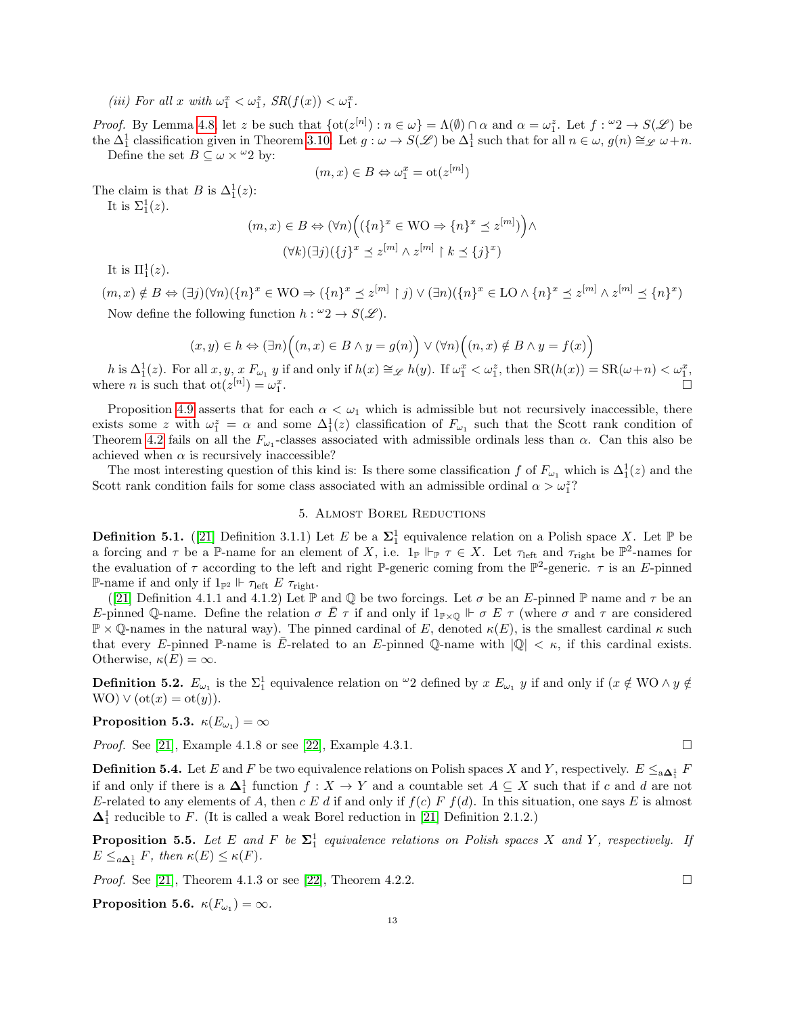(iii) For all x with  $\omega_1^x < \omega_1^z$ ,  $SR(f(x)) < \omega_1^x$ .

Proof. By Lemma [4.8,](#page-11-0) let z be such that  $\{\text{ot}(z^{[n]}) : n \in \omega\} = \Lambda(\emptyset) \cap \alpha$  and  $\alpha = \omega_1^z$ . Let  $f : \omega_2 \to S(\mathscr{L})$  be the  $\Delta_1^1$  classification given in Theorem [3.10.](#page-8-0) Let  $g: \omega \to S(\mathscr{L})$  be  $\Delta_1^1$  such that for all  $n \in \omega, g(n) \cong \mathscr{L} \omega + n$ .

Define the set  $B \subseteq \omega \times \omega^2$  by:

$$
(m, x) \in B \Leftrightarrow \omega_1^x = \text{ot}(z^{[m]})
$$

The claim is that B is  $\Delta_1^1(z)$ :

It is  $\Sigma_1^1(z)$ .

$$
(m, x) \in B \Leftrightarrow (\forall n) \Big( (\{n\}^x \in \text{WO} \Rightarrow \{n\}^x \preceq z^{[m]}) \Big) \wedge
$$

$$
(\forall k) (\exists j) (\{j\}^x \preceq z^{[m]} \wedge z^{[m]} \upharpoonright k \preceq \{j\}^x)
$$

It is  $\Pi_1^1(z)$ .

 $(m, x) \notin B \Leftrightarrow (\exists j)(\forall n)(\{n\}^x \in \mathbb{W} \cup \Rightarrow (\{n\}^x \preceq z^{[m]} \upharpoonright j) \vee (\exists n)(\{n\}^x \in \mathbb{L} \cup \wedge \{n\}^x \preceq z^{[m]} \wedge z^{[m]} \preceq \{n\}^x)$ Now define the following function  $h: \omega_2 \to S(\mathscr{L})$ .

$$
(x, y) \in h \Leftrightarrow (\exists n) \Big( (n, x) \in B \land y = g(n) \Big) \lor (\forall n) \Big( (n, x) \notin B \land y = f(x) \Big)
$$

h is  $\Delta_1^1(z)$ . For all  $x, y, x F_{\omega_1} y$  if and only if  $h(x) \cong_{\mathscr{L}} h(y)$ . If  $\omega_1^x < \omega_1^z$ , then  $\text{SR}(h(x)) = \text{SR}(\omega + n) < \omega_1^x$ , where *n* is such that  $ot(z^{[n]}) = \omega_1^x$ .

Proposition [4.9](#page-11-1) asserts that for each  $\alpha < \omega_1$  which is admissible but not recursively inaccessible, there exists some z with  $\omega_1^z = \alpha$  and some  $\Delta_1^1(z)$  classification of  $F_{\omega_1}$  such that the Scott rank condition of Theorem [4.2](#page-9-1) fails on all the  $F_{\omega_1}$ -classes associated with admissible ordinals less than  $\alpha$ . Can this also be achieved when  $\alpha$  is recursively inaccessible?

The most interesting question of this kind is: Is there some classification f of  $F_{\omega_1}$  which is  $\Delta_1^1(z)$  and the Scott rank condition fails for some class associated with an admissible ordinal  $\alpha > \omega_1^z$ ?

## 5. Almost Borel Reductions

<span id="page-12-0"></span>**Definition 5.1.** ([\[21\]](#page-18-2) Definition 3.1.1) Let E be a  $\Sigma_1^1$  equivalence relation on a Polish space X. Let P be a forcing and  $\tau$  be a P-name for an element of X, i.e.  $1_{\mathbb{P}} \Vdash_{\mathbb{P}} \tau \in X$ . Let  $\tau_{\text{left}}$  and  $\tau_{\text{right}}$  be  $\mathbb{P}^2$ -names for the evaluation of  $\tau$  according to the left and right P-generic coming from the P<sup>2</sup>-generic.  $\tau$  is an E-pinned **P**-name if and only if  $1_{\mathbb{P}^2} \Vdash \tau_{\text{left}} E \tau_{\text{right}}$ .

([\[21\]](#page-18-2) Definition 4.1.1 and 4.1.2) Let  $\mathbb P$  and  $\mathbb Q$  be two forcings. Let  $\sigma$  be an E-pinned  $\mathbb P$  name and  $\tau$  be an E-pinned Q-name. Define the relation  $\sigma E \tau$  if and only if  $1_{\mathbb{P}\times\mathbb{Q}} \Vdash \sigma E \tau$  (where  $\sigma$  and  $\tau$  are considered  $\mathbb{P} \times \mathbb{Q}$ -names in the natural way). The pinned cardinal of E, denoted  $\kappa(E)$ , is the smallest cardinal  $\kappa$  such that every E-pinned P-name is E-related to an E-pinned Q-name with  $|Q| < \kappa$ , if this cardinal exists. Otherwise,  $\kappa(E) = \infty$ .

**Definition 5.2.**  $E_{\omega_1}$  is the  $\Sigma_1^1$  equivalence relation on  $\omega_2$  defined by  $x E_{\omega_1} y$  if and only if  $(x \notin WO \wedge y \notin$ WO)  $\vee$  (ot(x) = ot(y)).

 $\textbf{Proposition 5.3.} \ \ \kappa(E_{\omega_1})=\infty$ 

*Proof.* See [\[21\]](#page-18-2), Example 4.1.8 or see [\[22\]](#page-18-3), Example 4.3.1.

**Definition 5.4.** Let E and F be two equivalence relations on Polish spaces X and Y, respectively.  $E \leq_{a \Delta_1^1} F$ if and only if there is a  $\Delta_1^1$  function  $f: X \to Y$  and a countable set  $A \subseteq X$  such that if c and d are not E-related to any elements of A, then c E d if and only if  $f(c) F f(d)$ . In this situation, one says E is almost  $\Delta_1^1$  reducible to F. (It is called a weak Borel reduction in [\[21\]](#page-18-2) Definition 2.1.2.)

**Proposition 5.5.** Let E and F be  $\Sigma_1^1$  equivalence relations on Polish spaces X and Y, respectively. If  $E \leq_{a\Delta_1^1} F$ , then  $\kappa(E) \leq \kappa(F)$ .

*Proof.* See [\[21\]](#page-18-2), Theorem 4.1.3 or see [\[22\]](#page-18-3), Theorem 4.2.2.

<span id="page-12-1"></span>Proposition 5.6.  $\kappa(F_{\omega_1})=\infty$ .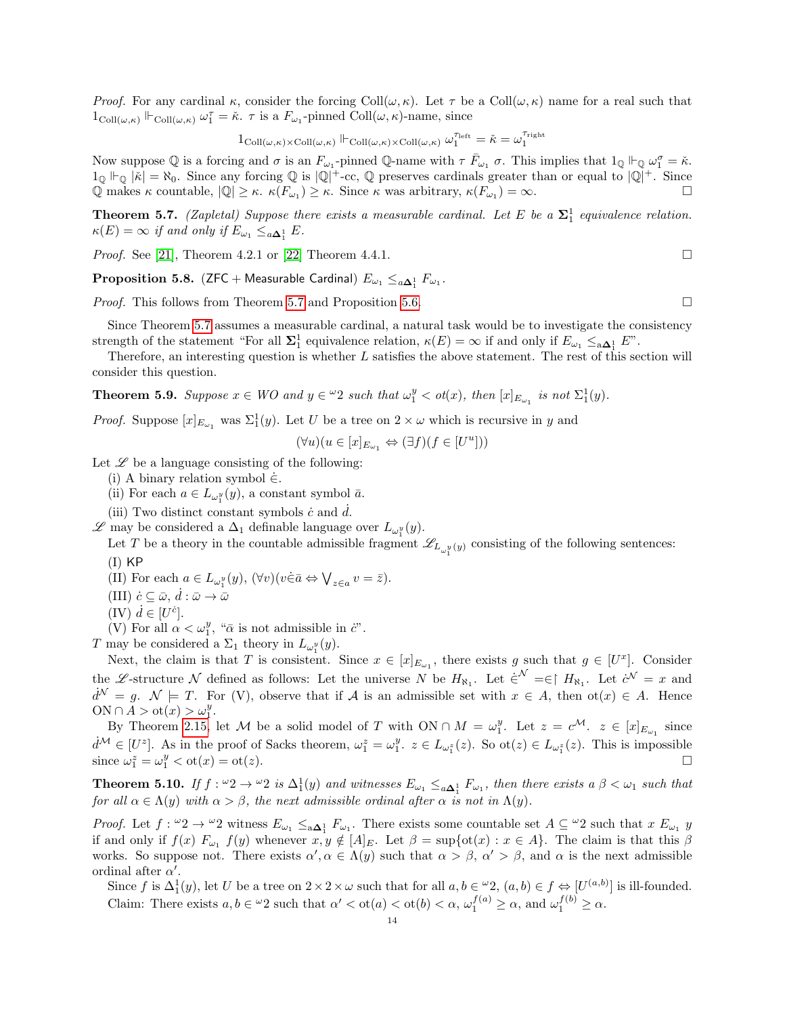*Proof.* For any cardinal  $\kappa$ , consider the forcing Coll $(\omega, \kappa)$ . Let  $\tau$  be a Coll $(\omega, \kappa)$  name for a real such that  $1_{\text{Coll}(\omega,\kappa)} \Vdash_{\text{Coll}(\omega,\kappa)} \omega_1^{\tau} = \check{\kappa}$ .  $\tau$  is a  $F_{\omega_1}$ -pinned  $\text{Coll}(\omega,\kappa)$ -name, since

 $1_{\text{Coll}(\omega,\kappa)\times\text{Coll}(\omega,\kappa)} \Vdash_{\text{Coll}(\omega,\kappa)\times\text{Coll}(\omega,\kappa)} \omega_1^{\tau_\text{left}} = \check{\kappa} = \omega_1^{\tau_\text{right}}$ 

Now suppose  $\mathbb Q$  is a forcing and  $\sigma$  is an  $F_{\omega_1}$ -pinned  $\mathbb Q$ -name with  $\tau \bar{F}_{\omega_1} \sigma$ . This implies that  $1_{\mathbb Q} \Vdash_{\mathbb Q} \omega_1^{\sigma} = \check{\kappa}$ .  $1_{\mathbb{Q}} \Vdash_{\mathbb{Q}} |\check{\kappa}| = \aleph_0$ . Since any forcing  $\mathbb{Q}$  is  $|\mathbb{Q}|^+$ -cc,  $\mathbb{Q}$  preserves cardinals greater than or equal to  $|\mathbb{Q}|^+$ . Since  $\overline{Q}$  makes  $\kappa$  countable,  $|\overline{Q}| \geq \kappa$ .  $\kappa(F_{\omega_1}) \geq \kappa$ . Since  $\kappa$  was arbitrary,  $\kappa(F_{\omega_1}) = \infty$ .

<span id="page-13-0"></span>**Theorem 5.7.** (Zapletal) Suppose there exists a measurable cardinal. Let E be a  $\Sigma_1^1$  equivalence relation.  $\kappa(E) = \infty$  if and only if  $E_{\omega_1} \leq_{a \mathbf{\Delta}_1^1} E$ .

*Proof.* See [\[21\]](#page-18-2), Theorem 4.2.1 or [\[22\]](#page-18-3) Theorem 4.4.1.

 $\bf{Proposition 5.8.}$   $(\sf{ZFC}+\sf{Measurable~Cardinal})$   $E_{\omega_1}\leq_{a\pmb{\Delta}^1_1}F_{\omega_1}.$ 

*Proof.* This follows from Theorem [5.7](#page-13-0) and Proposition [5.6.](#page-12-1)

Since Theorem [5.7](#page-13-0) assumes a measurable cardinal, a natural task would be to investigate the consistency strength of the statement "For all  $\Sigma_1^1$  equivalence relation,  $\kappa(E) = \infty$  if and only if  $E_{\omega_1} \leq_{\mathbf{a}\mathbf{\Delta}_1^1} E$ ".

Therefore, an interesting question is whether L satisfies the above statement. The rest of this section will consider this question.

<span id="page-13-1"></span>**Theorem 5.9.** Suppose  $x \in WO$  and  $y \in \omega_2$  such that  $\omega_1^y < \text{ot}(x)$ , then  $[x]_{E_{\omega_1}}$  is not  $\Sigma_1^1(y)$ .

*Proof.* Suppose  $[x]_{E_{\omega_1}}$  was  $\Sigma_1^1(y)$ . Let U be a tree on  $2 \times \omega$  which is recursive in y and

$$
(\forall u)(u\in [x]_{E_{\omega_1}}\Leftrightarrow (\exists f)(f\in [U^u]))
$$

Let  $\mathscr L$  be a language consisting of the following:

(i) A binary relation symbol  $\dot{\in}$ .

(ii) For each  $a \in L_{\omega_1^y}(y)$ , a constant symbol  $\bar{a}$ .

(iii) Two distinct constant symbols  $\dot{c}$  and  $d$ .

 $\mathscr L$  may be considered a  $\Delta_1$  definable language over  $L_{\omega_1^y}(y)$ .

Let T be a theory in the countable admissible fragment  $\mathscr{L}_{L_{\omega_1^y}(y)}$  consisting of the following sentences:  $(I)$  KP

(II) For each  $a \in L_{\omega_1^y}(y)$ ,  $(\forall v)(v \in \bar{a} \Leftrightarrow \bigvee_{z \in a} v = \bar{z}).$ 

- (III)  $\dot{c} \subseteq \bar{\omega}, \, \dot{d} : \bar{\omega} \to \bar{\omega}$
- $(IV)$   $\dot{d} \in [U^{\dot{c}}].$

(V) For all  $\alpha < \omega_1^y$ , " $\bar{\alpha}$  is not admissible in  $\ddot{c}$ ".

T may be considered a  $\Sigma_1$  theory in  $L_{\omega_1^y}(y)$ .

Next, the claim is that T is consistent. Since  $x \in [x]_{E_{\omega_1}}$ , there exists g such that  $g \in [U^x]$ . Consider the L-structure N defined as follows: Let the universe N be  $H_{\aleph_1}$ . Let  $\dot{\epsilon}^{\mathcal{N}} = \epsilon \upharpoonright H_{\aleph_1}$ . Let  $\dot{\epsilon}^{\mathcal{N}} = x$  and  $d^{\mathcal{N}} = g$ .  $\mathcal{N} \models T$ . For (V), observe that if A is an admissible set with  $x \in A$ , then  $ot(x) \in A$ . Hence ON  $\cap A > \mathrm{ot}(x) > \omega_1^y$ .

By Theorem [2.15,](#page-3-1) let M be a solid model of T with  $ON \cap M = \omega_1^y$ . Let  $z = c^{\mathcal{M}}$ .  $z \in [x]_{E_{\omega_1}}$  since  $\dot{d}^{\mathcal{M}} \in [U^z]$ . As in the proof of Sacks theorem,  $\omega_1^z = \omega_1^y$ .  $z \in L_{\omega_1^z}(z)$ . So  $\text{ot}(z) \in L_{\omega_1^z}(z)$ . This is impossible since  $\omega_1^z = \omega_1^y < \text{ot}(x) = \text{ot}(z)$ .

<span id="page-13-2"></span>**Theorem 5.10.** If  $f: \omega_2 \to \omega_2$  is  $\Delta_1^1(y)$  and witnesses  $E_{\omega_1} \leq_{a\Delta_1^1} F_{\omega_1}$ , then there exists a  $\beta < \omega_1$  such that for all  $\alpha \in \Lambda(y)$  with  $\alpha > \beta$ , the next admissible ordinal after  $\alpha$  is not in  $\Lambda(y)$ .

*Proof.* Let  $f: \omega_2 \to \omega_2$  witness  $E_{\omega_1} \leq_{\alpha} \Delta_1^1$   $F_{\omega_1}$ . There exists some countable set  $A \subseteq \omega_2$  such that  $x E_{\omega_1} y$ if and only if  $f(x)$   $F_{\omega_1}$   $f(y)$  whenever  $x, y \notin [A]_E$ . Let  $\beta = \sup \{ot(x) : x \in A\}$ . The claim is that this  $\beta$ works. So suppose not. There exists  $\alpha', \alpha \in \Lambda(y)$  such that  $\alpha > \beta, \alpha' > \beta$ , and  $\alpha$  is the next admissible ordinal after  $\alpha'$ .

Since f is  $\Delta_1^1(y)$ , let U be a tree on  $2 \times 2 \times \omega$  such that for all  $a, b \in \omega$ ,  $(a, b) \in f \Leftrightarrow [U^{(a, b)}]$  is ill-founded. Claim: There exists  $a, b \in \omega$  2 such that  $\alpha' < \text{ot}(a) < \text{ot}(b) < \alpha$ ,  $\omega_1^{f(a)} \geq \alpha$ , and  $\omega_1^{f(b)} \geq \alpha$ .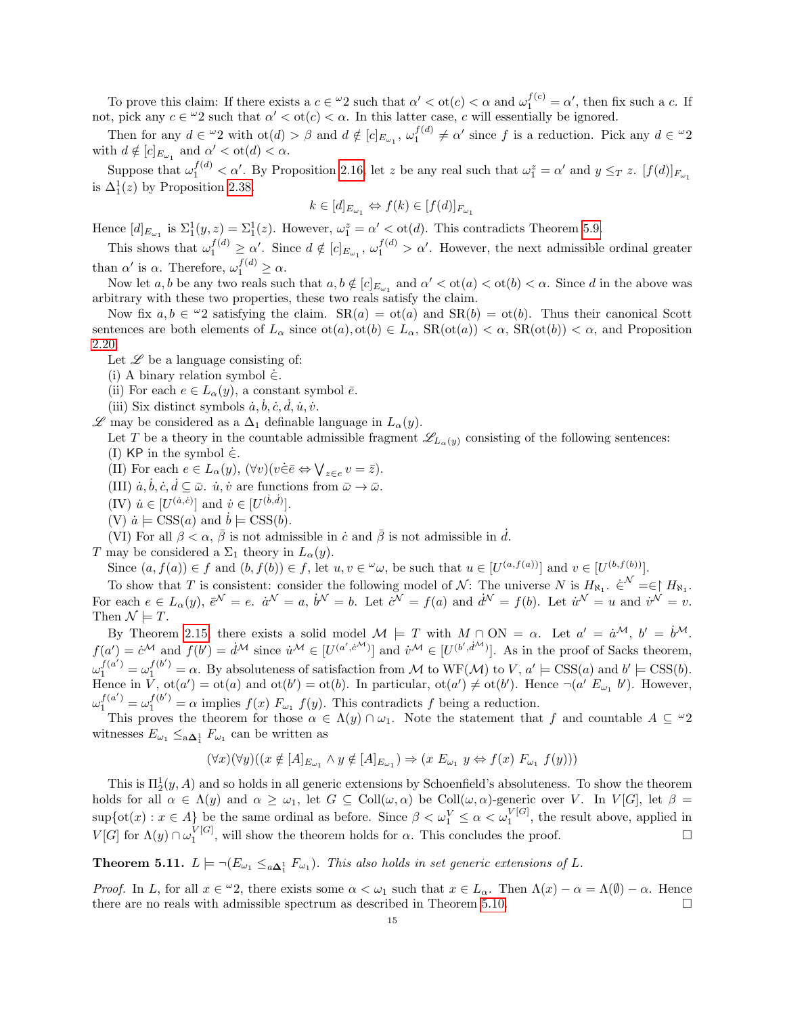To prove this claim: If there exists a  $c \in \omega_2$  such that  $\alpha' < \text{ot}(c) < \alpha$  and  $\omega_1^{f(c)} = \alpha'$ , then fix such a c. If not, pick any  $c \in \omega_2$  such that  $\alpha' < \text{ot}(c) < \alpha$ . In this latter case, c will essentially be ignored.

Then for any  $d \in \omega_2$  with  $\text{ot}(d) > \beta$  and  $d \notin [c]_{E_{\omega_1}}, \omega_1^{f(d)} \neq \alpha'$  since f is a reduction. Pick any  $d \in \omega_2$ with  $d \notin [c]_{E_{\omega_1}}$  and  $\alpha' < \text{ot}(d) < \alpha$ .

Suppose that  $\omega_1^{f(d)} < \alpha'$ . By Proposition [2.16,](#page-3-0) let z be any real such that  $\omega_1^z = \alpha'$  and  $y \leq_T z$ .  $[f(d)]_{F_{\omega_1}}$ is  $\Delta_1^1(z)$  by Proposition [2.38.](#page-7-4)

$$
k \in [d]_{E_{\omega_1}} \Leftrightarrow f(k) \in [f(d)]_{F_{\omega_1}}
$$

Hence  $[d]_{E_{\omega_1}}$  is  $\Sigma_1^1(y, z) = \Sigma_1^1(z)$ . However,  $\omega_1^z = \alpha' < \text{ot}(d)$ . This contradicts Theorem [5.9.](#page-13-1)

This shows that  $\omega_1^{f(d)} \geq \alpha'$ . Since  $d \notin [c]_{E_{\omega_1}}$ ,  $\omega_1^{f(d)} > \alpha'$ . However, the next admissible ordinal greater than  $\alpha'$  is  $\alpha$ . Therefore,  $\omega_1^{f(d)} \geq \alpha$ .

Now let a, b be any two reals such that  $a, b \notin [c]_{E_{\omega_1}}$  and  $\alpha' < \text{ot}(a) < \text{ot}(b) < \alpha$ . Since d in the above was arbitrary with these two properties, these two reals satisfy the claim.

Now fix  $a, b \in \mathcal{Q}$  satisfying the claim.  $SR(a) = ot(a)$  and  $SR(b) = ot(b)$ . Thus their canonical Scott sentences are both elements of  $L_{\alpha}$  since  $\text{ot}(a), \text{ot}(b) \in L_{\alpha}$ ,  $\text{SR}(\text{ot}(a)) < \alpha$ ,  $\text{SR}(\text{ot}(b)) < \alpha$ , and Proposition [2.20.](#page-5-4)

Let  $\mathscr L$  be a language consisting of:

(i) A binary relation symbol  $\dot{\in}$ .

(ii) For each  $e \in L_{\alpha}(y)$ , a constant symbol  $\overline{e}$ .

(iii) Six distinct symbols  $\dot{a}, \dot{b}, \dot{c}, \dot{d}, \dot{u}, \dot{v}.$ 

 $\mathscr L$  may be considered as a  $\Delta_1$  definable language in  $L_{\alpha}(y)$ .

Let T be a theory in the countable admissible fragment  $\mathscr{L}_{L_{\alpha}(y)}$  consisting of the following sentences: (I) KP in the symbol  $\dot{\in}$ .

(II) For each  $e \in L_{\alpha}(y)$ ,  $(\forall v)(v \in \overline{e} \Leftrightarrow \bigvee_{z \in e} v = \overline{z})$ .

(III)  $\dot{a}, \dot{b}, \dot{c}, \dot{d} \subseteq \bar{\omega}$ .  $\dot{u}, \dot{v}$  are functions from  $\bar{\omega} \to \bar{\omega}$ .

(IV)  $\dot{u} \in [U^{(\dot{a}, \dot{c})}]$  and  $\dot{v} \in [U^{(\dot{b}, \dot{d})}].$ 

(V)  $\dot{a} \models \text{CSS}(a)$  and  $\dot{b} \models \text{CSS}(b)$ .

(VI) For all  $\beta < \alpha$ ,  $\overline{\beta}$  is not admissible in  $\dot{c}$  and  $\overline{\beta}$  is not admissible in  $\dot{d}$ .

T may be considered a  $\Sigma_1$  theory in  $L_{\alpha}(y)$ .

Since  $(a, f(a)) \in f$  and  $(b, f(b)) \in f$ , let  $u, v \in \omega$ , be such that  $u \in [U^{(a, f(a))}]$  and  $v \in [U^{(b, f(b))}]$ .

To show that T is consistent: consider the following model of N: The universe N is  $H_{\aleph_1}$ .  $\in^{\mathcal{N}} = \in \, H_{\aleph_1}$ . For each  $e \in L_{\alpha}(y), \ \bar{e}^{\mathcal{N}} = e, \ \dot{a}^{\mathcal{N}} = a, \ \dot{b}^{\mathcal{N}} = b$ . Let  $\dot{c}^{\mathcal{N}} = f(a)$  and  $\dot{d}^{\mathcal{N}} = f(b)$ . Let  $\dot{u}^{\mathcal{N}} = u$  and  $\dot{v}^{\mathcal{N}} = v$ . Then  $\mathcal{N} \models T$ .

By Theorem [2.15,](#page-3-1) there exists a solid model  $\mathcal{M} \models T$  with  $M \cap ON = \alpha$ . Let  $a' = \dot{a}^{\mathcal{M}}, b' = \dot{b}^{\mathcal{M}}$ .  $f(a') = c^{\mathcal{M}}$  and  $f(b') = d^{\mathcal{M}}$  since  $\dot{u}^{\mathcal{M}} \in [U^{(a',c^{\mathcal{M}})}]$  and  $\dot{v}^{\mathcal{M}} \in [U^{(b',\dot{d}^{\mathcal{M}})}]$ . As in the proof of Sacks theorem,  $\omega_1^{f(a')} = \omega_1^{f(b')} = \alpha$ . By absoluteness of satisfaction from M to WF(M) to V,  $a' \models \text{CSS}(a)$  and  $b' \models \text{CSS}(b)$ . Hence in V,  $ot(a') = ot(a)$  and  $ot(b') = ot(b)$ . In particular,  $ot(a') \neq ot(b')$ . Hence  $\neg(a' E_{\omega_1} b')$ . However,  $\omega_1^{f(a')} = \omega_1^{f(b')} = \alpha$  implies  $f(x)$   $F_{\omega_1}$   $f(y)$ . This contradicts f being a reduction.

This proves the theorem for those  $\alpha \in \Lambda(y) \cap \omega_1$ . Note the statement that f and countable  $A \subseteq {}^{\omega}2$ witnesses  $E_{\omega_1} \leq_{\mathbf{a}\mathbf{\Delta}_1^1} F_{\omega_1}$  can be written as

$$
(\forall x)(\forall y)((x \notin [A]_{E_{\omega_1}} \land y \notin [A]_{E_{\omega_1}}) \Rightarrow (x \mathrel{E_{\omega_1}} y \Leftrightarrow f(x) \mathrel{F_{\omega_1}} f(y)))
$$

This is  $\Pi_2^1(y, A)$  and so holds in all generic extensions by Schoenfield's absoluteness. To show the theorem holds for all  $\alpha \in \Lambda(y)$  and  $\alpha \geq \omega_1$ , let  $G \subseteq Coll(\omega, \alpha)$  be  $Coll(\omega, \alpha)$ -generic over V. In  $V[G]$ , let  $\beta =$  $\sup\{\text{ot}(x): x \in A\}$  be the same ordinal as before. Since  $\beta < \omega_1^V \leq \alpha < \omega_1^{V[G]}$ , the result above, applied in  $V[G]$  for  $\Lambda(y) \cap \omega_1^{V[G]}$ , will show the theorem holds for  $\alpha$ . This concludes the proof.

<span id="page-14-0"></span>**Theorem 5.11.**  $L \models \neg (E_{\omega_1} \leq_{a\Delta_1^1} F_{\omega_1})$ . This also holds in set generic extensions of L.

Proof. In L, for all  $x \in \mathcal{L}_2$ , there exists some  $\alpha < \omega_1$  such that  $x \in L_\alpha$ . Then  $\Lambda(x) - \alpha = \Lambda(\emptyset) - \alpha$ . Hence there are no reals with admissible spectrum as described in Theorem [5.10.](#page-13-2)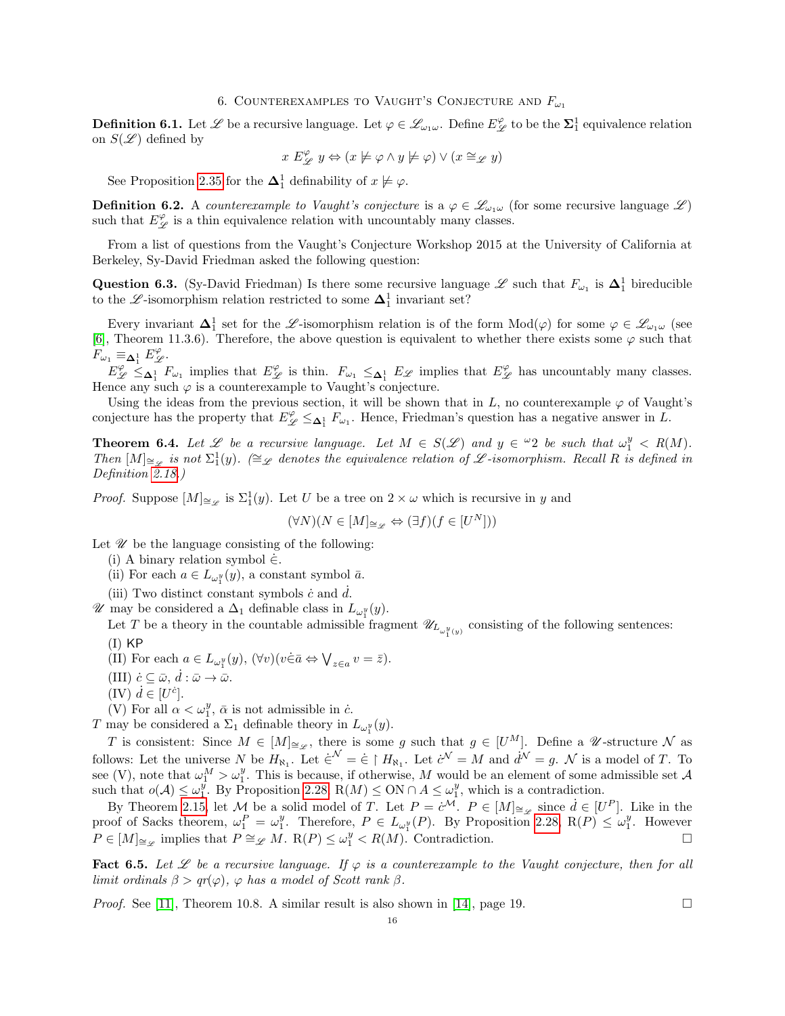## 6. COUNTEREXAMPLES TO VAUGHT'S CONJECTURE AND  $F_{\omega_1}$

**Definition 6.1.** Let  $\mathscr L$  be a recursive language. Let  $\varphi \in \mathscr L_{\omega_1\omega}$ . Define  $E_{\mathscr L}^{\varphi}$  to be the  $\mathbf{\Sigma}_1^1$  equivalence relation on  $S(\mathscr{L})$  defined by

$$
x E_{\mathscr{L}}^{\varphi} y \Leftrightarrow (x \not\models \varphi \land y \not\models \varphi) \lor (x \cong_{\mathscr{L}} y)
$$

See Proposition [2.35](#page-6-1) for the  $\Delta_1^1$  definability of  $x \not\models \varphi$ .

**Definition 6.2.** A counterexample to Vaught's conjecture is a  $\varphi \in \mathscr{L}_{\omega_1\omega}$  (for some recursive language  $\mathscr{L}$ ) such that  $E_{\mathscr{L}}^{\varphi}$  is a thin equivalence relation with uncountably many classes.

From a list of questions from the Vaught's Conjecture Workshop 2015 at the University of California at Berkeley, Sy-David Friedman asked the following question:

<span id="page-15-0"></span>Question 6.3. (Sy-David Friedman) Is there some recursive language  $\mathscr L$  such that  $F_{\omega_1}$  is  $\Delta_1^1$  bireducible to the  $\mathscr{L}$ -isomorphism relation restricted to some  $\mathbf{\Delta}^1_1$  invariant set?

Every invariant  $\Delta_1^1$  set for the L-isomorphism relation is of the form  $Mod(\varphi)$  for some  $\varphi \in \mathscr{L}_{\omega_1 \omega}$  (see [\[6\]](#page-18-18), Theorem 11.3.6). Therefore, the above question is equivalent to whether there exists some  $\varphi$  such that  $F_{\omega_1} \equiv_{\mathbf{\Delta}_1^1} E_{\mathscr{L}}^{\varphi}.$ 

 $E_{\mathscr{L}}^{\varphi} \leq_{\Delta_1^1} F_{\omega_1}$  implies that  $E_{\mathscr{L}}^{\varphi}$  is thin.  $F_{\omega_1} \leq_{\Delta_1^1} E_{\mathscr{L}}$  implies that  $E_{\mathscr{L}}^{\varphi}$  has uncountably many classes. Hence any such  $\varphi$  is a counterexample to Vaught's conjecture.

Using the ideas from the previous section, it will be shown that in  $L$ , no counterexample  $\varphi$  of Vaught's conjecture has the property that  $E_{\mathscr{L}}^{\varphi} \leq_{\mathbf{\Delta}_1^1} F_{\omega_1}$ . Hence, Friedman's question has a negative answer in L.

<span id="page-15-2"></span>**Theorem 6.4.** Let L be a recursive language. Let  $M \in S(\mathcal{L})$  and  $y \in \mathcal{L}$  be such that  $\omega_1^y \le R(M)$ . Then  $[M]_{\cong_{\mathscr{L}}}$  is not  $\Sigma_1^1(y)$ . (≅ equivalence relation of  $\mathscr{L}$ -isomorphism. Recall R is defined in Definition [2.18.](#page-4-0))

*Proof.* Suppose  $[M]_{\cong_{\mathscr{L}}}$  is  $\Sigma_1^1(y)$ . Let U be a tree on  $2 \times \omega$  which is recursive in y and

 $(\forall N)(N\in [M]_{\cong_{\mathscr{L}}}\Leftrightarrow (\exists f)(f\in [U^{N}]))$ 

Let  $\mathscr U$  be the language consisting of the following:

- (i) A binary relation symbol  $\dot{\in}$ .
- (ii) For each  $a \in L_{\omega_1^y}(y)$ , a constant symbol  $\bar{a}$ .
- (iii) Two distinct constant symbols  $\dot{c}$  and  $d$ .
- *W* may be considered a Δ<sub>1</sub> definable class in  $L_{ω_1^y}(y)$ .

Let T be a theory in the countable admissible fragment  $\mathscr{U}_{L_{\omega_1^y(y)}}$  consisting of the following sentences:  $(I)$  KP

- (II) For each  $a \in L_{\omega_1^y}(y)$ ,  $(\forall v)(v \in \bar{a} \Leftrightarrow \bigvee_{z \in a} v = \bar{z}).$
- (III)  $\dot{c} \subseteq \bar{\omega}, \, \dot{d} : \bar{\omega} \to \bar{\omega}.$
- $(IV)$   $\dot{d} \in [U^{\dot{c}}].$
- (V) For all  $\alpha < \omega_1^y$ ,  $\bar{\alpha}$  is not admissible in  $\dot{c}$ .

T may be considered a  $\Sigma_1$  definable theory in  $L_{\omega_1^y}(y)$ .

T is consistent: Since  $M \in [M]_{\cong \mathscr{L}}$ , there is some g such that  $g \in [U^M]$ . Define a W-structure N as follows: Let the universe N be  $H_{\aleph_1}$ . Let  $\dot{\epsilon}^{\mathcal{N}} = \dot{\epsilon} \restriction H_{\aleph_1}$ . Let  $\dot{c}^{\mathcal{N}} = M$  and  $\dot{d}^{\mathcal{N}} = g$ . N is a model of T. To see (V), note that  $\omega_1^M > \omega_1^y$ . This is because, if otherwise, M would be an element of some admissible set A such that  $o(\mathcal{A}) \leq \omega_1^{\bar{y}}$ . By Proposition [2.28,](#page-5-3) R(M)  $\leq$  ON  $\cap$   $A \leq \omega_1^{\bar{y}}$ , which is a contradiction.

By Theorem [2.15,](#page-3-1) let  $M$  be a solid model of T. Let  $P = \dot{c}^{\mathcal{M}}$ .  $P \in [M]_{\cong_{\mathscr{L}}}$  since  $\dot{d} \in [U^P]$ . Like in the proof of Sacks theorem,  $\omega_1^P = \omega_1^y$ . Therefore,  $P \in L_{\omega_1^y}(P)$ . By Proposition [2.28,](#page-5-3) R(P)  $\leq \omega_1^y$ . However  $P \in [M]_{\cong_{\mathscr{L}}}$  implies that  $P \cong_{\mathscr{L}} M$ .  $R(P) \leq \omega_1^y < R(M)$ . Contradiction.

<span id="page-15-1"></span>Fact 6.5. Let  $\mathscr L$  be a recursive language. If  $\varphi$  is a counterexample to the Vaught conjecture, then for all limit ordinals  $\beta > qr(\varphi)$ ,  $\varphi$  has a model of Scott rank  $\beta$ .

*Proof.* See [\[11\]](#page-18-19), Theorem 10.8. A similar result is also shown in [\[14\]](#page-18-20), page 19.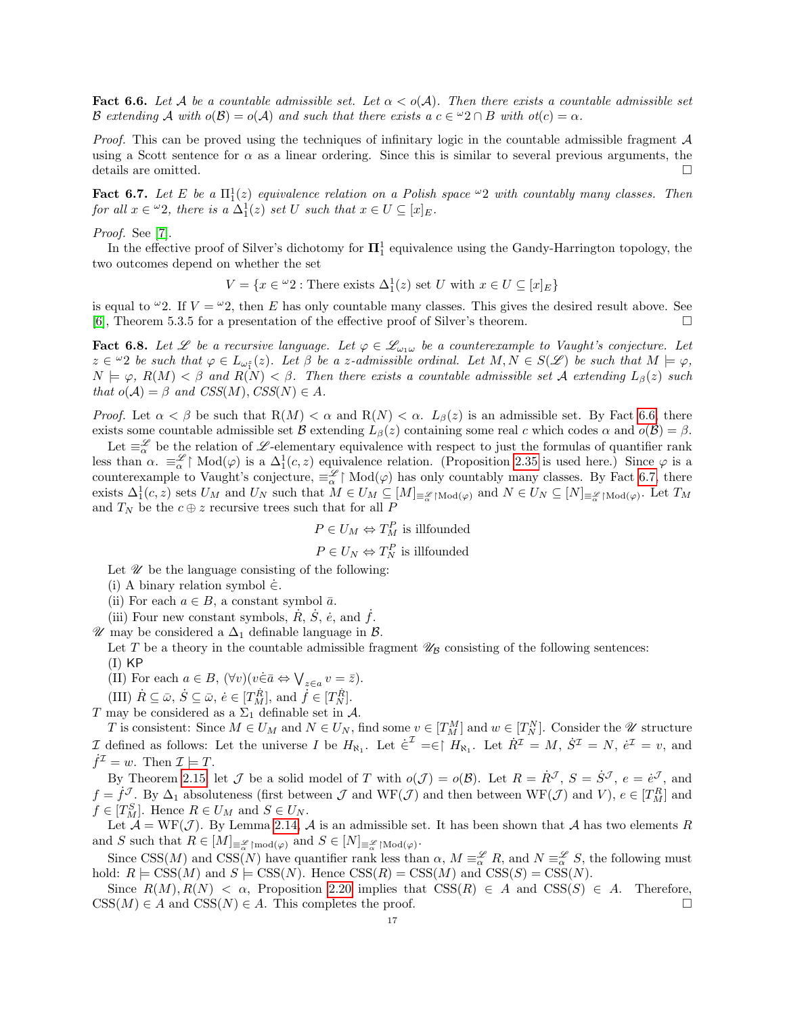<span id="page-16-0"></span>**Fact 6.6.** Let A be a countable admissible set. Let  $\alpha < o(A)$ . Then there exists a countable admissible set B extending A with  $o(B) = o(A)$  and such that there exists  $a \ c \in \mathcal{Q} \cap B$  with  $ot(c) = \alpha$ .

*Proof.* This can be proved using the techniques of infinitary logic in the countable admissible fragment  $A$ using a Scott sentence for  $\alpha$  as a linear ordering. Since this is similar to several previous arguments, the details are omitted.  $\hfill \square$ 

<span id="page-16-1"></span>**Fact 6.7.** Let E be a  $\Pi_1^1(z)$  equivalence relation on a Polish space  $\infty$  with countably many classes. Then for all  $x \in \omega_2$ , there is a  $\Delta_1^1(z)$  set U such that  $x \in U \subseteq [x]_E$ .

## Proof. See [\[7\]](#page-18-21).

In the effective proof of Silver's dichotomy for  $\Pi_1^1$  equivalence using the Gandy-Harrington topology, the two outcomes depend on whether the set

$$
V = \{ x \in {}^{\omega}2 : \text{There exists } \Delta_1^1(z) \text{ set } U \text{ with } x \in U \subseteq [x]_E \}
$$

is equal to  $\omega$ 2. If  $V = \omega$ 2, then E has only countable many classes. This gives the desired result above. See [\[6\]](#page-18-18), Theorem 5.3.5 for a presentation of the effective proof of Silver's theorem.

<span id="page-16-2"></span>**Fact 6.8.** Let  $\mathscr L$  be a recursive language. Let  $\varphi \in \mathscr L_{\omega_1\omega}$  be a counterexample to Vaught's conjecture. Let  $z \in \omega_2$  be such that  $\varphi \in L_{\omega_1^z}(z)$ . Let  $\beta$  be a z-admissible ordinal. Let  $M, N \in S(\mathscr{L})$  be such that  $M \models \varphi$ ,  $N \models \varphi$ ,  $R(M) < \beta$  and  $R(N) < \beta$ . Then there exists a countable admissible set A extending  $L_{\beta}(z)$  such that  $o(A) = \beta$  and  $CSS(M), CSS(N) \in A$ .

*Proof.* Let  $\alpha < \beta$  be such that  $R(M) < \alpha$  and  $R(N) < \alpha$ .  $L_{\beta}(z)$  is an admissible set. By Fact [6.6,](#page-16-0) there exists some countable admissible set B extending  $L_\beta(z)$  containing some real c which codes  $\alpha$  and  $o(\beta) = \beta$ .

Let  $\equiv_{\alpha}^{\mathscr{L}}$  be the relation of  $\mathscr{L}$ -elementary equivalence with respect to just the formulas of quantifier rank less than  $\alpha$ .  $\equiv_{\alpha}^{\mathscr{L}}$  Mod $(\varphi)$  is a  $\Delta_1^1(c, z)$  equivalence relation. (Proposition [2.35](#page-6-1) is used here.) Since  $\varphi$  is a counterexample to Vaught's conjecture,  $\equiv_{\alpha}^{\mathscr{L}}\upharpoonright \text{Mod}(\varphi)$  has only countably many classes. By Fact [6.7,](#page-16-1) there exists  $\Delta_1^1(c, z)$  sets  $U_M$  and  $U_N$  such that  $M \in U_M \subseteq [M]_{\equiv_{\alpha}^{\mathscr{L}} \upharpoonright Mod(\varphi)}$  and  $N \in U_N \subseteq [N]_{\equiv_{\alpha}^{\mathscr{L}} \upharpoonright Mod(\varphi)}$ . Let  $T_M$ and  $T_N$  be the  $c \oplus z$  recursive trees such that for all P

$$
P \in U_M \Leftrightarrow T_M^P
$$
 is illfounded

 $P \in U_N \Leftrightarrow T_N^P$  is illfounded

Let  $\mathscr U$  be the language consisting of the following:

(i) A binary relation symbol  $\dot{\in}$ .

- (ii) For each  $a \in B$ , a constant symbol  $\bar{a}$ .
- (iii) Four new constant symbols,  $\dot{R}$ ,  $\dot{S}$ ,  $\dot{e}$ , and  $\dot{f}$ .
- $\mathscr U$  may be considered a  $\Delta_1$  definable language in  $\mathcal B$ .

Let T be a theory in the countable admissible fragment  $\mathscr{U}_B$  consisting of the following sentences:  $(I)$  KP

- (II) For each  $a \in B$ ,  $(\forall v)(v \in \bar{a} \Leftrightarrow \bigvee_{z \in a} v = \bar{z}).$
- (III)  $\dot{R} \subseteq \bar{\omega}, \, \dot{S} \subseteq \bar{\omega}, \, \dot{e} \in [T_M^{\dot{R}}], \, \text{and} \, \, \dot{f} \in [T_N^{\dot{R}}].$

T may be considered as a  $\Sigma_1$  definable set in A.

T is consistent: Since  $M \in U_M$  and  $N \in U_N$ , find some  $v \in [T_M^M]$  and  $w \in [T_N^N]$ . Consider the  $\mathscr U$  structure I defined as follows: Let the universe I be  $H_{\aleph_1}$ . Let  $\dot{\epsilon}^{\mathcal{I}} = \epsilon \upharpoonright H_{\aleph_1}$ . Let  $\dot{R}^{\mathcal{I}} = M$ ,  $\dot{S}^{\mathcal{I}} = N$ ,  $\dot{e}^{\mathcal{I}} = v$ , and  $\dot{f}^{\mathcal{I}}=w.$  Then  $\mathcal{I}\models T.$ 

By Theorem [2.15,](#page-3-1) let  $\mathcal J$  be a solid model of T with  $o(\mathcal J) = o(\mathcal B)$ . Let  $R = \dot R^{\mathcal J}$ ,  $S = \dot S^{\mathcal J}$ ,  $e = \dot e^{\mathcal J}$ , and  $f = \dot{f}^{\mathcal{J}}$ . By  $\Delta_1$  absoluteness (first between  $\mathcal{J}$  and  $WF(\mathcal{J})$  and then between  $WF(\mathcal{J})$  and  $V$ ),  $e \in [T_M^R]$  and  $f \in [T_M^S]$ . Hence  $R \in U_M$  and  $S \in U_N$ .

Let  $\mathcal{A} = \text{WF}(\mathcal{J})$ . By Lemma [2.14,](#page-3-2)  $\mathcal{A}$  is an admissible set. It has been shown that  $\mathcal{A}$  has two elements  $R$ and S such that  $R \in [M]_{\equiv \mathscr{L} \restriction \text{mod}(\varphi)}$  and  $S \in [N]_{\equiv \mathscr{L} \restriction \text{Mod}(\varphi)}$ .

Since CSS(M) and CSS(N) have quantifier rank less than  $\alpha$ ,  $M \equiv_{\alpha}^{\mathscr{L}} R$ , and  $N \equiv_{\alpha}^{\mathscr{L}} S$ , the following must hold:  $R \models \text{CSS}(M)$  and  $S \models \text{CSS}(N)$ . Hence  $\text{CSS}(R) = \text{CSS}(M)$  and  $\text{CSS}(S) = \text{CSS}(N)$ .

Since  $R(M), R(N) < \alpha$ , Proposition [2.20](#page-5-4) implies that  $CSS(R) \in A$  and  $CSS(S) \in A$ . Therefore,  $\text{CSS}(M) \in A$  and  $\text{CSS}(N) \in A$ . This completes the proof.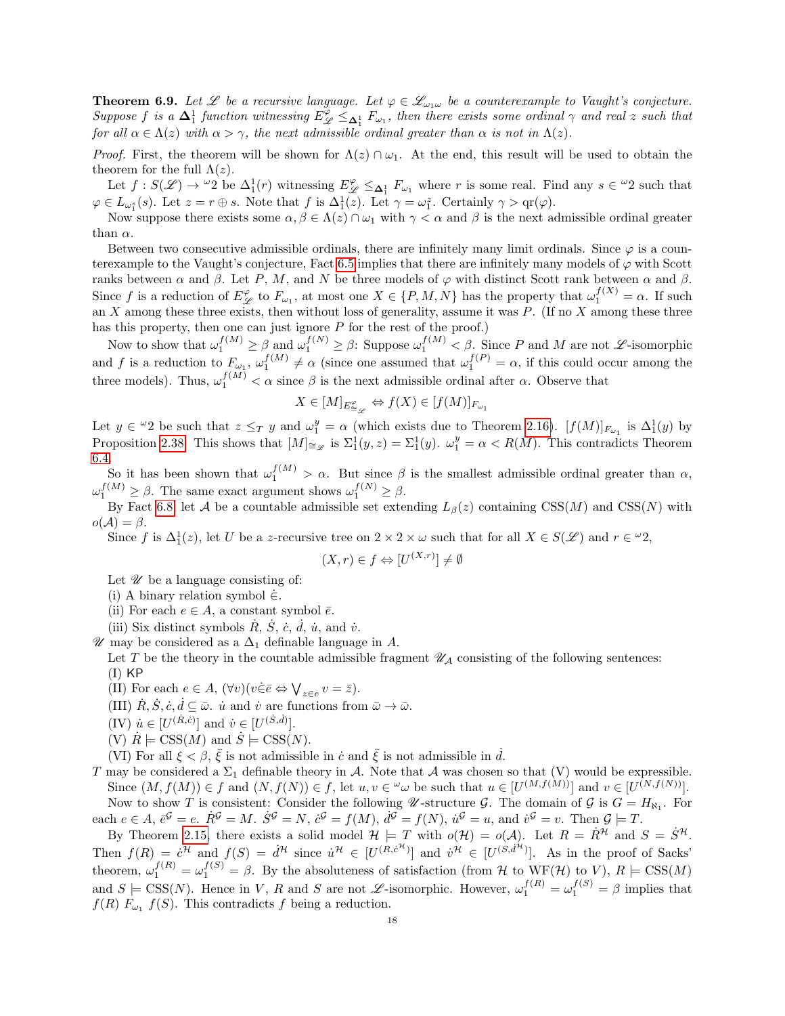<span id="page-17-0"></span>**Theorem 6.9.** Let  $\mathscr L$  be a recursive language. Let  $\varphi \in \mathscr L_{\omega_1\omega}$  be a counterexample to Vaught's conjecture. Suppose f is a  $\Delta_1^1$  function witnessing  $E_{\mathscr{L}}^{\varphi} \leq_{\Delta_1^1} F_{\omega_1}$ , then there exists some ordinal  $\gamma$  and real z such that for all  $\alpha \in \Lambda(z)$  with  $\alpha > \gamma$ , the next admissible ordinal greater than  $\alpha$  is not in  $\Lambda(z)$ .

*Proof.* First, the theorem will be shown for  $\Lambda(z) \cap \omega_1$ . At the end, this result will be used to obtain the theorem for the full  $\Lambda(z)$ .

Let  $f: S(\mathscr{L}) \to {}^{\omega}2$  be  $\Delta_1^1(r)$  witnessing  $E_{\mathscr{L}}^{\varphi} \leq_{\Delta_1^1} F_{\omega_1}$  where r is some real. Find any  $s \in {}^{\omega}2$  such that  $\varphi \in L_{\omega_1^s}(s)$ . Let  $z = r \oplus s$ . Note that f is  $\Delta_1^1(z)$ . Let  $\gamma = \omega_1^z$ . Certainly  $\gamma > \text{qr}(\varphi)$ .

Now suppose there exists some  $\alpha, \beta \in \Lambda(z) \cap \omega_1$  with  $\gamma < \alpha$  and  $\beta$  is the next admissible ordinal greater than  $\alpha$ .

Between two consecutive admissible ordinals, there are infinitely many limit ordinals. Since  $\varphi$  is a coun-terexample to the Vaught's conjecture, Fact [6.5](#page-15-1) implies that there are infinitely many models of  $\varphi$  with Scott ranks between  $\alpha$  and  $\beta$ . Let P, M, and N be three models of  $\varphi$  with distinct Scott rank between  $\alpha$  and  $\beta$ . Since f is a reduction of  $E_{\mathscr{L}}^{\varphi}$  to  $F_{\omega_1}$ , at most one  $X \in \{P, M, N\}$  has the property that  $\omega_1^{f(X)} = \alpha$ . If such an X among these three exists, then without loss of generality, assume it was P. (If no X among these three has this property, then one can just ignore  $P$  for the rest of the proof.)

Now to show that  $\omega_1^{f(M)} \geq \beta$  and  $\omega_1^{f(N)} \geq \beta$ : Suppose  $\omega_1^{f(M)} < \beta$ . Since P and M are not  $\mathscr{L}$ -isomorphic and f is a reduction to  $F_{\omega_1}$ ,  $\omega_1^{f(M)} \neq \alpha$  (since one assumed that  $\omega_1^{f(P)} = \alpha$ , if this could occur among the three models). Thus,  $\omega_1^{f(M)} < \alpha$  since  $\beta$  is the next admissible ordinal after  $\alpha$ . Observe that

$$
X \in [M]_{E^{\varphi}_{\cong \mathscr{L}}} \Leftrightarrow f(X) \in [f(M)]_{F_{\omega_1}}
$$

Let  $y \in {}^{\omega}2$  be such that  $z \leq_T y$  and  $\omega_1^y = \alpha$  (which exists due to Theorem [2.16\)](#page-3-0).  $[f(M)]_{F_{\omega_1}}$  is  $\Delta_1^1(y)$  by Proposition [2.38.](#page-7-4) This shows that  $[M]_{\cong_{\mathscr{L}}}$  is  $\Sigma_1^1(y,z)=\Sigma_1^1(y)$ .  $\omega_1^y=\alpha \langle R(M)$ . This contradicts Theorem [6.4.](#page-15-2)

So it has been shown that  $\omega_1^{f(M)} > \alpha$ . But since  $\beta$  is the smallest admissible ordinal greater than  $\alpha$ ,  $\omega_1^{f(M)} \geq \beta$ . The same exact argument shows  $\omega_1^{f(N)} \geq \beta$ .

By Fact [6.8,](#page-16-2) let A be a countable admissible set extending  $L_{\beta}(z)$  containing CSS(M) and CSS(N) with  $o(\mathcal{A}) = \beta$ .

Since f is  $\Delta_1^1(z)$ , let U be a z-recursive tree on  $2 \times 2 \times \omega$  such that for all  $X \in S(\mathscr{L})$  and  $r \in \mathscr{L}2$ ,

$$
(X,r) \in f \Leftrightarrow [U^{(X,r)}] \neq \emptyset
$$

Let  $\mathscr U$  be a language consisting of:

- (i) A binary relation symbol  $\dot{\in}$ .
- (ii) For each  $e \in A$ , a constant symbol  $\overline{e}$ .
- (iii) Six distinct symbols  $\dot{R}$ ,  $\dot{S}$ ,  $\dot{c}$ ,  $\dot{d}$ ,  $\dot{u}$ , and  $\dot{v}$ .
- $\mathscr U$  may be considered as a  $\Delta_1$  definable language in A.

Let T be the theory in the countable admissible fragment  $\mathscr{U}_{\mathcal{A}}$  consisting of the following sentences:  $(I)$  KP

- (II) For each  $e \in A$ ,  $(\forall v)(v \in \bar{e} \Leftrightarrow \bigvee_{z \in e} v = \bar{z}).$
- (III)  $\dot{R}, \dot{S}, \dot{c}, \dot{d} \subseteq \bar{\omega}$ .  $\dot{u}$  and  $\dot{v}$  are functions from  $\bar{\omega} \to \bar{\omega}$ .
- $(IV)$   $\dot{u} \in [U^{(\dot{R}, \dot{c})}]$  and  $\dot{v} \in [U^{(\dot{S}, \dot{d})}].$
- (V)  $\dot{R} \models \text{CSS}(M)$  and  $\dot{S} \models \text{CSS}(N)$ .

(VI) For all  $\xi < \beta$ ,  $\bar{\xi}$  is not admissible in  $\dot{c}$  and  $\bar{\xi}$  is not admissible in  $\dot{d}$ .

T may be considered a  $\Sigma_1$  definable theory in A. Note that A was chosen so that (V) would be expressible. Since  $(M, f(M)) \in f$  and  $(N, f(N)) \in f$ , let  $u, v \in \omega$  be such that  $u \in [U^{(M, f(M))}]$  and  $v \in [U^{(N, f(N))}]$ . Now to show T is consistent: Consider the following  $\mathscr U$ -structure G. The domain of G is  $G = H_{\aleph_1}$ . For each  $e \in A$ ,  $\bar{e}^{\mathcal{G}} = e$ .  $\dot{R}^{\mathcal{G}} = M$ .  $\dot{S}^{\mathcal{G}} = N$ ,  $\dot{c}^{\mathcal{G}} = f(M)$ ,  $\dot{d}^{\mathcal{G}} = f(N)$ ,  $\dot{u}^{\mathcal{G}} = u$ , and  $\dot{v}^{\mathcal{G}} = v$ . Then  $\mathcal{G} \models T$ .

By Theorem [2.15,](#page-3-1) there exists a solid model  $\mathcal{H} \models T$  with  $o(\mathcal{H}) = o(\mathcal{A})$ . Let  $R = R^{\mathcal{H}}$  and  $S = S^{\mathcal{H}}$ . Then  $f(R) = \dot{c}^{\mathcal{H}}$  and  $f(S) = \dot{d}^{\mathcal{H}}$  since  $\dot{u}^{\mathcal{H}} \in [U^{(R,\dot{c}^{\mathcal{H}})}]$  and  $\dot{v}^{\mathcal{H}} \in [U^{(S,\dot{d}^{\mathcal{H}})}]$ . As in the proof of Sacks' theorem,  $\omega_1^{f(R)} = \omega_1^{f(S)} = \beta$ . By the absoluteness of satisfaction (from H to WF(H) to V),  $R \models \text{CSS}(M)$ and  $S \models \text{CSS}(N)$ . Hence in V, R and S are not  $\mathscr{L}$ -isomorphic. However,  $\omega_1^{f(R)} = \omega_1^{f(S)} = \beta$  implies that  $f(R) F_{\omega_1} f(S)$ . This contradicts f being a reduction.